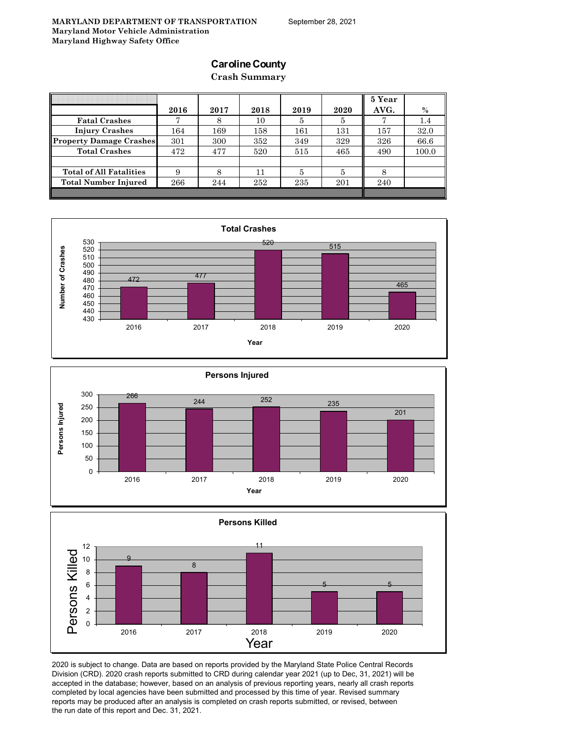## **Caroline County**

**Crash Summary**

|                                | 2016 | 2017 | 2018 | 2019 | 2020 | 5 Year<br>AVG. | $\%$  |
|--------------------------------|------|------|------|------|------|----------------|-------|
| <b>Fatal Crashes</b>           | π    | 8    | 10   | 5    | Ð    |                | 1.4   |
| <b>Injury Crashes</b>          | 164  | 169  | 158  | 161  | 131  | 157            | 32.0  |
| <b>Property Damage Crashes</b> | 301  | 300  | 352  | 349  | 329  | 326            | 66.6  |
| <b>Total Crashes</b>           | 472  | 477  | 520  | 515  | 465  | 490            | 100.0 |
|                                |      |      |      |      |      |                |       |
| <b>Total of All Fatalities</b> | 9    |      | 11   | 5    | 5    |                |       |
| <b>Total Number Injured</b>    | 266  | 244  | 252  | 235  | 201  | 240            |       |
|                                |      |      |      |      |      |                |       |







2020 is subject to change. Data are based on reports provided by the Maryland State Police Central Records Division (CRD). 2020 crash reports submitted to CRD during calendar year 2021 (up to Dec, 31, 2021) will be accepted in the database; however, based on an analysis of previous reporting years, nearly all crash reports completed by local agencies have been submitted and processed by this time of year. Revised summary reports may be produced after an analysis is completed on crash reports submitted, or revised, between the run date of this report and Dec. 31, 2021.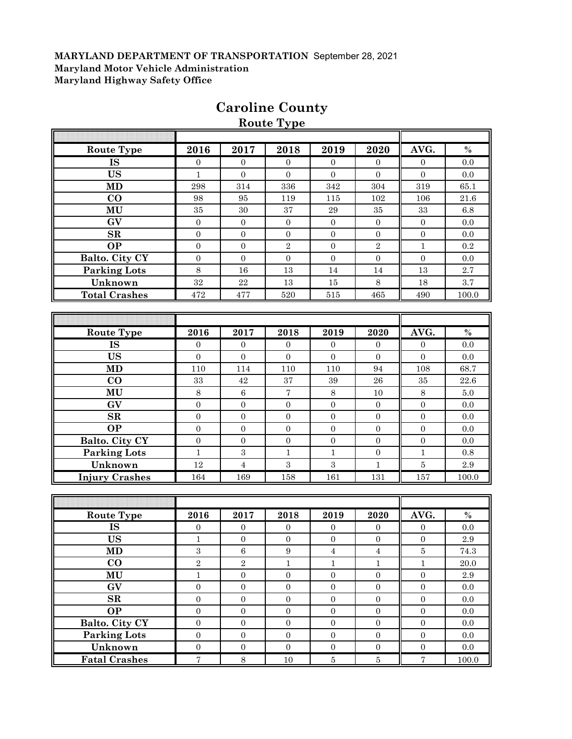|                        |                  |                  | noute type       |                  |                  |                  |           |
|------------------------|------------------|------------------|------------------|------------------|------------------|------------------|-----------|
|                        |                  |                  |                  |                  |                  |                  |           |
| <b>Route Type</b>      | 2016             | 2017             | 2018             | 2019             | 2020             | AVG.             | $\%$      |
| <b>IS</b>              | $\overline{0}$   | $\Omega$         | $\Omega$         | $\overline{0}$   | $\overline{0}$   | $\mathbf{0}$     | 0.0       |
| <b>US</b>              | $\mathbf{1}$     | $\overline{0}$   | $\boldsymbol{0}$ | $\mathbf{0}$     | $\overline{0}$   | $\mathbf{0}$     | 0.0       |
| <b>MD</b>              | 298              | 314              | 336              | 342              | 304              | 319              | 65.1      |
| $\bf CO$               | 98               | 95               | 119              | 115              | 102              | 106              | $21.6\,$  |
| MU                     | $35\,$           | 30               | $37\,$           | $\,29$           | $35\,$           | 33               | $6.8\,$   |
| GV                     | $\overline{0}$   | $\boldsymbol{0}$ | $\mathbf{0}$     | $\mathbf{0}$     | $\boldsymbol{0}$ | $\boldsymbol{0}$ | 0.0       |
| ${\bf SR}$             | $\mathbf{0}$     | $\mathbf{0}$     | $\boldsymbol{0}$ | $\mathbf{0}$     | $\boldsymbol{0}$ | $\overline{0}$   | 0.0       |
| <b>OP</b>              | $\boldsymbol{0}$ | $\boldsymbol{0}$ | $\sqrt{2}$       | $\boldsymbol{0}$ | $\sqrt{2}$       | $\mathbf{1}$     | $\rm 0.2$ |
| Balto. City CY         | $\mathbf{0}$     | $\boldsymbol{0}$ | $\boldsymbol{0}$ | $\mathbf{0}$     | $\boldsymbol{0}$ | $\boldsymbol{0}$ | 0.0       |
| <b>Parking Lots</b>    | $\,8\,$          | 16               | 13               | 14               | 14               | 13               | 2.7       |
| Unknown                | $32\,$           | $\bf 22$         | 13               | 15               | $\,8\,$          | 18               | $3.7\,$   |
| <b>Total Crashes</b>   | 472              | 477              | 520              | 515              | 465              | 490              | 100.0     |
|                        |                  |                  |                  |                  |                  |                  |           |
|                        |                  |                  |                  |                  |                  |                  |           |
| <b>Route Type</b>      | 2016             | 2017             | 2018             | 2019             | 2020             | AVG.             | $\%$      |
| $\overline{\text{IS}}$ | $\overline{0}$   | $\overline{0}$   | $\mathbf{0}$     | $\mathbf{0}$     | $\boldsymbol{0}$ | $\boldsymbol{0}$ | $0.0\,$   |
| <b>US</b>              | $\overline{0}$   | $\mathbf{0}$     | $\overline{0}$   | $\overline{0}$   | $\mathbf{0}$     | $\overline{0}$   | 0.0       |
| MD                     | 110              | 114              | 110              | 110              | 94               | 108              | 68.7      |
| $\bf CO$               | $33\,$           | 42               | $\rm 37$         | $39\,$           | ${\bf 26}$       | 35               | $22.6\,$  |
| MU                     | $\,8\,$          | 6                | $\sqrt{7}$       | $\,8\,$          | $10\,$           | $8\,$            | $5.0\,$   |
| GV                     | $\boldsymbol{0}$ | $\boldsymbol{0}$ | $\boldsymbol{0}$ | $\mathbf{0}$     | $\boldsymbol{0}$ | $\boldsymbol{0}$ | 0.0       |
| SR                     | $\mathbf{0}$     | $\boldsymbol{0}$ | $\boldsymbol{0}$ | $\mathbf{0}$     | $\overline{0}$   | $\mathbf{0}$     | 0.0       |
| <b>OP</b>              | $\boldsymbol{0}$ | $\boldsymbol{0}$ | $\boldsymbol{0}$ | $\boldsymbol{0}$ | $\boldsymbol{0}$ | $\boldsymbol{0}$ | $0.0\,$   |
| Balto. City CY         | $\boldsymbol{0}$ | $\boldsymbol{0}$ | $\boldsymbol{0}$ | $\boldsymbol{0}$ | $\boldsymbol{0}$ | $\mathbf{0}$     | 0.0       |
| <b>Parking Lots</b>    | $\mathbf{1}$     | $\sqrt{3}$       | $\mathbf{1}$     | $\mathbf{1}$     | $\boldsymbol{0}$ | $\mathbf{1}$     | $\rm 0.8$ |
| Unknown                | $12\,$           | $\sqrt{4}$       | $\overline{3}$   | $\sqrt{3}$       | $\mathbf{1}$     | $\bf 5$          | $2.9\,$   |
| <b>Injury Crashes</b>  | 164              | 169              | 158              | 161              | 131              | 157              | 100.0     |
|                        |                  |                  |                  |                  |                  |                  |           |
|                        |                  |                  |                  |                  |                  |                  |           |
| Route Type             | 2016             | 2017             | 2018             | 2019             | 2020             | AVG.             | $\%$      |
| IS                     | $\boldsymbol{0}$ | $\boldsymbol{0}$ | $\boldsymbol{0}$ | $\boldsymbol{0}$ | $\boldsymbol{0}$ | $\boldsymbol{0}$ | $0.0\,$   |
| <b>US</b>              | $\mathbf 1$      | $\boldsymbol{0}$ | $\boldsymbol{0}$ | $\boldsymbol{0}$ | $\boldsymbol{0}$ | $\boldsymbol{0}$ | $2.9\,$   |
| <b>MD</b>              | $\mathbf{3}$     | $\,6\,$          | 9                | $\overline{4}$   | $\,4\,$          | $\bf 5$          | 74.3      |
| $\bf{CO}$              | $\overline{2}$   | $\overline{2}$   | $\mathbf{1}$     | $\mathbf{1}$     | $\mathbf{1}$     | $\mathbf{1}$     | $20.0\,$  |
| MU                     | $\mathbf{1}$     | $\mathbf{0}$     | $\boldsymbol{0}$ | $\overline{0}$   | $\boldsymbol{0}$ | $\mathbf{0}$     | $2.9\,$   |
| GV                     | $\overline{0}$   | $\mathbf{0}$     | $\boldsymbol{0}$ | $\mathbf{0}$     | $\overline{0}$   | $\mathbf{0}$     | 0.0       |
| $\mathbf{SR}$          | $\boldsymbol{0}$ | $\boldsymbol{0}$ | $\boldsymbol{0}$ | $\boldsymbol{0}$ | $\overline{0}$   | $\boldsymbol{0}$ | 0.0       |
| <b>OP</b>              | $\overline{0}$   | $\boldsymbol{0}$ | $\boldsymbol{0}$ | $\mathbf{0}$     | $\boldsymbol{0}$ | $\boldsymbol{0}$ | 0.0       |
| Balto. City CY         | $\boldsymbol{0}$ | $\boldsymbol{0}$ | $\boldsymbol{0}$ | $\mathbf{0}$     | $\mathbf{0}$     | $\boldsymbol{0}$ | 0.0       |
| <b>Parking Lots</b>    | $\boldsymbol{0}$ | $\boldsymbol{0}$ | $\boldsymbol{0}$ | $\overline{0}$   | $\overline{0}$   | $\mathbf{0}$     | 0.0       |
| Unknown                | $\overline{0}$   | $\boldsymbol{0}$ | $\boldsymbol{0}$ | $\overline{0}$   | $\overline{0}$   | $\boldsymbol{0}$ | $0.0\,$   |
| <b>Fatal Crashes</b>   | $\overline{7}$   | $\,8\,$          | 10               | $\overline{5}$   | $\overline{5}$   | $\overline{7}$   | 100.0     |

# **Caroline County**

**Route Type**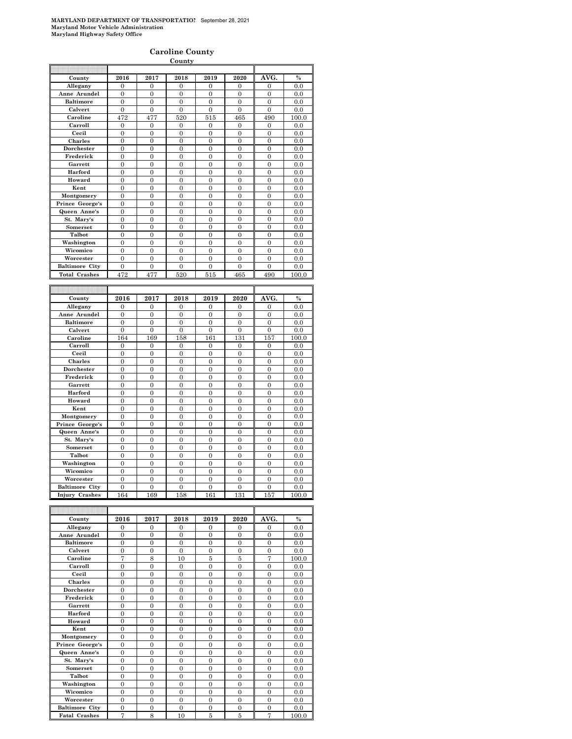#### **Caroline County**

| County                |                  |                  |                  |                  |                  |                  |       |
|-----------------------|------------------|------------------|------------------|------------------|------------------|------------------|-------|
|                       |                  |                  |                  |                  |                  |                  |       |
| County                | 2016             | 2017             | 2018             | 2019             | 2020             | AVG.             | $\%$  |
| Allegany              | $\overline{0}$   | $\mathbf{0}$     | $\mathbf{0}$     | $\overline{0}$   | $\overline{0}$   | $\mathbf{0}$     | 0.0   |
| Anne Arundel          | $\overline{0}$   | $\boldsymbol{0}$ | $\overline{0}$   | $\mathbf{0}$     | $\overline{0}$   | $\mathbf{0}$     | 0.0   |
| <b>Baltimore</b>      | $\overline{0}$   | $\mathbf{0}$     | $\overline{0}$   | $\overline{0}$   | $\overline{0}$   | $\overline{0}$   | 0.0   |
| Calvert               | $\Omega$         | $\overline{0}$   | $\theta$         | $\overline{0}$   | $\overline{0}$   | $\theta$         | 0.0   |
| Caroline              | 472              | 477              | 520              | 515              | 465              | 490              | 100.0 |
| Carroll               | $\boldsymbol{0}$ | $\boldsymbol{0}$ | 0                | 0                | 0                | $\boldsymbol{0}$ | 0.0   |
| Cecil                 | $\boldsymbol{0}$ | $\boldsymbol{0}$ | $\boldsymbol{0}$ | $\mathbf{0}$     | $\overline{0}$   | $\mathbf{0}$     | 0.0   |
| Charles               | $\overline{0}$   | $\overline{0}$   | $\overline{0}$   | $\overline{0}$   | $\overline{0}$   | $\overline{0}$   | 0.0   |
| Dorchester            | $\overline{0}$   | $\overline{0}$   | $\overline{0}$   | $\overline{0}$   | $\overline{0}$   | $\overline{0}$   | 0.0   |
| Frederick             | $\overline{0}$   | $\overline{0}$   | 0                | $\overline{0}$   | $\overline{0}$   | $\overline{0}$   | 0.0   |
| Garrett               | $\mathbf{0}$     | $\boldsymbol{0}$ | $\boldsymbol{0}$ | $\boldsymbol{0}$ | $\overline{0}$   | $\boldsymbol{0}$ |       |
|                       |                  |                  |                  |                  |                  |                  | 0.0   |
| Harford               | $\boldsymbol{0}$ | $\boldsymbol{0}$ | $\boldsymbol{0}$ | $\boldsymbol{0}$ | $\overline{0}$   | $\boldsymbol{0}$ | 0.0   |
| Howard                | $\boldsymbol{0}$ | $\boldsymbol{0}$ | 0                | $\bf{0}$         | $\mathbf{0}$     | $\boldsymbol{0}$ | 0.0   |
| Kent                  | $\boldsymbol{0}$ | $\boldsymbol{0}$ | 0                | $\mathbf{0}$     | $\mathbf{0}$     | $\boldsymbol{0}$ | 0.0   |
| Montgomery            | $\overline{0}$   | $\overline{0}$   | $\overline{0}$   | $\overline{0}$   | $\overline{0}$   | $\overline{0}$   | 0.0   |
| Prince George's       | $\overline{0}$   | $\overline{0}$   | $\overline{0}$   | $\overline{0}$   | $\overline{0}$   | $\Omega$         | 0.0   |
| Queen Anne's          | $\overline{0}$   | $\mathbf{0}$     | $\overline{0}$   | $\overline{0}$   | $\overline{0}$   | $\overline{0}$   | 0.0   |
| St. Mary's            | 0                | $\mathbf{0}$     | $\boldsymbol{0}$ | $\boldsymbol{0}$ | $\overline{0}$   | $\boldsymbol{0}$ | 0.0   |
| Somerset              | $\overline{0}$   | $\overline{0}$   | $\overline{0}$   | $\overline{0}$   | $\overline{0}$   | $\overline{0}$   | 0.0   |
| Talbot                | $\boldsymbol{0}$ | $\boldsymbol{0}$ | $\bf{0}$         | $\bf{0}$         | $\mathbf{0}$     | $\boldsymbol{0}$ | 0.0   |
| Washington            | $\overline{0}$   | $\overline{0}$   | $\overline{0}$   | $\overline{0}$   | $\overline{0}$   | $\overline{0}$   | 0.0   |
| Wicomico              | $\overline{0}$   | $\overline{0}$   | $\overline{0}$   | $\theta$         | $\overline{0}$   | $\overline{0}$   | 0.0   |
| Worcester             | $\overline{0}$   | $\overline{0}$   | $\overline{0}$   | $\mathbf{0}$     | $\overline{0}$   | $\overline{0}$   | 0.0   |
| <b>Baltimore City</b> | $\boldsymbol{0}$ | $\boldsymbol{0}$ | $\boldsymbol{0}$ | $\boldsymbol{0}$ | 0                | $\boldsymbol{0}$ | 0.0   |
| <b>Total Crashes</b>  | 472              | 477              | 520              | 515              | 465              | 490              | 100.0 |
|                       |                  |                  |                  |                  |                  |                  |       |
|                       |                  |                  |                  |                  |                  |                  |       |
|                       |                  |                  |                  |                  |                  |                  |       |
| County                | 2016             | 2017             | 2018             | 2019             | 2020             | AVG.             | $\%$  |
| Allegany              | $\mathbf{0}$     | $\boldsymbol{0}$ | $\mathbf{0}$     | $\mathbf{0}$     | 0                | 0                | 0.0   |
| Anne Arundel          |                  |                  |                  |                  |                  |                  |       |
|                       | $\mathbf{0}$     | $\mathbf{0}$     | $\boldsymbol{0}$ | $\mathbf{0}$     | $\overline{0}$   | $\boldsymbol{0}$ | 0.0   |
| <b>Baltimore</b>      | $\overline{0}$   | $\boldsymbol{0}$ | $\boldsymbol{0}$ | $\overline{0}$   | $\overline{0}$   | $\boldsymbol{0}$ | 0.0   |
| Calvert               | $\boldsymbol{0}$ | $\boldsymbol{0}$ | $\boldsymbol{0}$ | $\boldsymbol{0}$ | $\boldsymbol{0}$ | $\boldsymbol{0}$ | 0.0   |
| Caroline              | 164              | 169              | 158              | 161              | 131              | 157              | 100.0 |
| Carroll               | 0                | 0                | 0                | $\mathbf{0}$     | $\overline{0}$   | $\mathbf{0}$     | 0.0   |
| Cecil                 | $\overline{0}$   | $\mathbf{0}$     | $\overline{0}$   | $\overline{0}$   | $\overline{0}$   | $\overline{0}$   | 0.0   |
| Charles               | $\overline{0}$   | $\mathbf{0}$     | $\mathbf{0}$     | $\mathbf{0}$     | $\overline{0}$   | $\mathbf{0}$     | 0.0   |
| Dorchester            | $\overline{0}$   | $\overline{0}$   | $\overline{0}$   | $\overline{0}$   | $\overline{0}$   | $\overline{0}$   | 0.0   |
| Frederick             | $\overline{0}$   | $\overline{0}$   | $\overline{0}$   | $\overline{0}$   | $\overline{0}$   | $\bf{0}$         | 0.0   |
| Garrett               | $\boldsymbol{0}$ | $\boldsymbol{0}$ | $\overline{0}$   | $\overline{0}$   | $\overline{0}$   | $\boldsymbol{0}$ | 0.0   |
| Harford               | $\overline{0}$   | $\overline{0}$   | $\overline{0}$   | $\overline{0}$   | $\overline{0}$   | $\overline{0}$   | 0.0   |
| Howard                | $\overline{0}$   | $\overline{0}$   | $\theta$         | $\theta$         | $\overline{0}$   | $\theta$         | 0.0   |
| Kent                  | $\overline{0}$   | $\overline{0}$   | $\overline{0}$   | $\overline{0}$   | $\overline{0}$   | $\mathbf{0}$     | 0.0   |
| Montgomery            | $\boldsymbol{0}$ | $\boldsymbol{0}$ | $\boldsymbol{0}$ | $\mathbf{0}$     | $\mathbf{0}$     | $\boldsymbol{0}$ | 0.0   |
| Prince George's       | $\mathbf{0}$     | $\mathbf{0}$     | $\mathbf{0}$     | $\mathbf{0}$     | $\overline{0}$   | $\mathbf{0}$     | 0.0   |
| Queen Anne's          | $\overline{0}$   | $\overline{0}$   | $\overline{0}$   | $\overline{0}$   | $\overline{0}$   | $\overline{0}$   | 0.0   |
| St. Mary's            | $\overline{0}$   | $\overline{0}$   | $\overline{0}$   | $\overline{0}$   | $\overline{0}$   | $\overline{0}$   | 0.0   |
| Somerset              | $\overline{0}$   | $\overline{0}$   | 0                | $\overline{0}$   | $\mathbf{0}$     | $\overline{0}$   | 0.0   |
| Talbot                | $\mathbf{0}$     | $\boldsymbol{0}$ | $\boldsymbol{0}$ | $\boldsymbol{0}$ | $\overline{0}$   | $\boldsymbol{0}$ | 0.0   |
| Washington            | $\mathbf{0}$     | $\mathbf{0}$     | $\boldsymbol{0}$ | $\boldsymbol{0}$ | $\overline{0}$   | $\boldsymbol{0}$ | 0.0   |
| Wicomico              | $\boldsymbol{0}$ | $\boldsymbol{0}$ | 0                | $\bf{0}$         | $\mathbf{0}$     | $\boldsymbol{0}$ | 0.0   |
| Worcester             | $\boldsymbol{0}$ | $\boldsymbol{0}$ | 0                | $\mathbf{0}$     | $\mathbf{0}$     | $\boldsymbol{0}$ | 0.0   |
| <b>Baltimore City</b> | $\theta$         | $\mathbf{0}$     | $\Omega$         | $\theta$         | $\theta$         | $\Omega$         | 0.0   |
| <b>Injury Crashes</b> | 164              | 169              | 158              | 161              | 131              | 157              | 100.0 |
| I                     |                  |                  |                  |                  |                  |                  |       |

| County                | 2016           | 2017     | 2018     | 2019     | 2020           | AVG.           | $\%$  |
|-----------------------|----------------|----------|----------|----------|----------------|----------------|-------|
| Allegany              | $\theta$       | $\Omega$ | $\Omega$ | $\Omega$ | $\Omega$       | $\Omega$       | 0.0   |
| Anne Arundel          | $\theta$       | $\Omega$ | $\Omega$ | $\Omega$ | $\theta$       | $\Omega$       | 0.0   |
| <b>Baltimore</b>      | $\theta$       | $\Omega$ | $\Omega$ | $\Omega$ | $\theta$       | $\Omega$       | 0.0   |
| Calvert               | $\overline{0}$ | $\Omega$ | $\theta$ | $\Omega$ | $\theta$       | $\theta$       | 0.0   |
| Caroline              | 7              | 8        | 10       | 5        | 5              | 7              | 100.0 |
| Carroll               | $\theta$       | $\Omega$ | $\Omega$ | $\theta$ | $\theta$       | $\Omega$       | 0.0   |
| Cecil                 | $\theta$       | $\theta$ | $\theta$ | $\theta$ | $\theta$       | $\Omega$       | 0.0   |
| <b>Charles</b>        | $\theta$       | $\Omega$ | $\theta$ | $\theta$ | $\theta$       | $\Omega$       | 0.0   |
| <b>Dorchester</b>     | $\theta$       | $\Omega$ | $\theta$ | $\Omega$ | $\theta$       | $\theta$       | 0.0   |
| Frederick             | $\theta$       | $\Omega$ | $\theta$ | $\theta$ | $\theta$       | $\Omega$       | 0.0   |
| Garrett               | $\theta$       | $\Omega$ | $\theta$ | $\theta$ | $\theta$       | $\Omega$       | 0.0   |
| Harford               | $\overline{0}$ | $\theta$ | $\theta$ | $\theta$ | $\overline{0}$ | $\overline{0}$ | 0.0   |
| Howard                | $\overline{0}$ | $\Omega$ | $\Omega$ | $\Omega$ | $\theta$       | $\Omega$       | 0.0   |
| Kent                  | $\theta$       | $\theta$ | $\theta$ | $\theta$ | $\theta$       | $\Omega$       | 0.0   |
| Montgomery            | $\theta$       | $\theta$ | $\theta$ | $\theta$ | $\theta$       | $\Omega$       | 0.0   |
| Prince George's       | $\overline{0}$ | $\Omega$ | $\Omega$ | $\Omega$ | $\theta$       | $\Omega$       | 0.0   |
| Queen Anne's          | $\overline{0}$ | $\theta$ | $\theta$ | $\Omega$ | $\theta$       | $\Omega$       | 0.0   |
| St. Mary's            | $\theta$       | $\Omega$ | $\theta$ | $\theta$ | $\theta$       | $\theta$       | 0.0   |
| Somerset              | $\theta$       | $\theta$ | $\theta$ | $\theta$ | $\theta$       | $\Omega$       | 0.0   |
| Talbot                | $\theta$       | $\Omega$ | $\theta$ | $\theta$ | $\theta$       | $\Omega$       | 0.0   |
| Washington            | $\Omega$       | $\Omega$ | $\Omega$ | $\Omega$ | $\theta$       | $\Omega$       | 0.0   |
| Wicomico              | $\Omega$       | $\Omega$ | $\theta$ | $\Omega$ | $\theta$       | $\Omega$       | 0.0   |
| Worcester             | $\theta$       | $\theta$ | $\theta$ | $\theta$ | $\theta$       | $\theta$       | 0.0   |
| <b>Baltimore City</b> | $\theta$       | $\Omega$ | $\theta$ | $\theta$ | $\theta$       | $\Omega$       | 0.0   |
| <b>Fatal Crashes</b>  | 7              | 8        | 10       | 5        | 5              | 7              | 100.0 |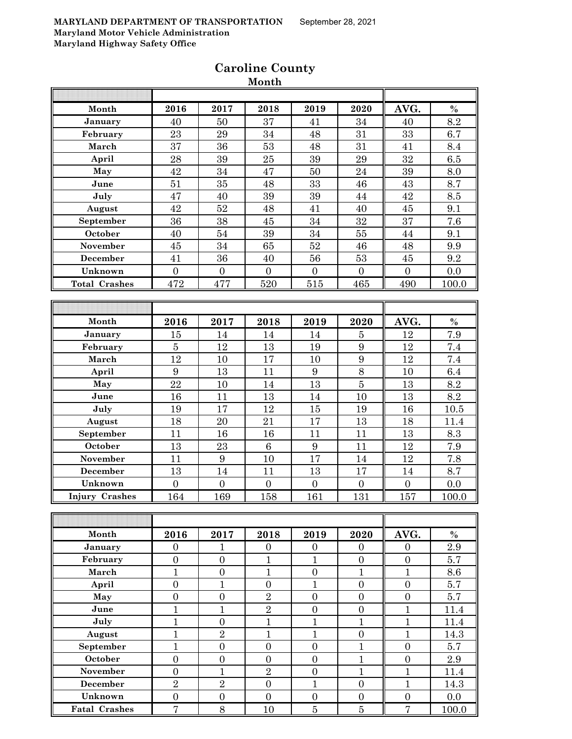| Month                 | 2016                               | 2017                             | 2018                               | 2019                                 | 2020                               | AVG.                               | $\%$        |
|-----------------------|------------------------------------|----------------------------------|------------------------------------|--------------------------------------|------------------------------------|------------------------------------|-------------|
| January               | 40                                 | 50                               | 37                                 | 41                                   | 34                                 | 40                                 | 8.2         |
| February              | 23                                 | 29                               | 34                                 | 48                                   | 31                                 | 33                                 | 6.7         |
| March                 | $\overline{37}$                    | 36                               | 53                                 | 48                                   | 31                                 | 41                                 | 8.4         |
| April                 | 28                                 | 39                               | 25                                 | $39\,$                               | 29                                 | 32                                 | 6.5         |
| May                   | 42                                 | 34                               | 47                                 | 50                                   | 24                                 | 39                                 | 8.0         |
| June                  | 51                                 | 35                               | 48                                 | 33                                   | 46                                 | 43                                 | 8.7         |
| July                  | 47                                 | 40                               | 39                                 | 39                                   | 44                                 | 42                                 | 8.5         |
| August                | 42                                 | 52                               | 48                                 | 41                                   | 40                                 | $\rm 45$                           | 9.1         |
| September             | 36                                 | 38                               | 45                                 | 34                                   | 32                                 | 37                                 | 7.6         |
| October               | 40                                 | 54                               | 39                                 | 34                                   | $55\,$                             | 44                                 | 9.1         |
| November              | 45                                 | 34                               | 65                                 | 52                                   | 46                                 | 48                                 | 9.9         |
| December              | 41                                 | 36                               | 40                                 | 56                                   | $53\,$                             | 45                                 | 9.2         |
| Unknown               | $\overline{0}$                     | $\overline{0}$                   | $\overline{0}$                     | $\overline{0}$                       | $\overline{0}$                     | $\overline{0}$                     | 0.0         |
| <b>Total Crashes</b>  | 472                                | 477                              | 520                                | 515                                  | 465                                | 490                                | 100.0       |
|                       |                                    |                                  |                                    |                                      |                                    |                                    |             |
|                       |                                    |                                  |                                    |                                      |                                    |                                    |             |
| Month                 | 2016                               | 2017                             | 2018                               | 2019                                 | 2020                               | AVG.                               | $\%$        |
| January               | 15                                 | 14                               | 14                                 | 14                                   | $\bf 5$                            | 12                                 | 7.9         |
| February              | $\overline{5}$                     | 12                               | 13                                 | 19                                   | 9                                  | 12                                 | 7.4         |
| March                 | 12                                 | 10                               | 17                                 | 10                                   | $\boldsymbol{9}$                   | 12                                 | 7.4         |
| April                 | $\boldsymbol{9}$                   | 13                               | 11                                 | 9                                    | $\overline{8}$                     | 10                                 | 6.4         |
| May                   | 22                                 | 10                               | 14                                 | 13                                   | $\overline{5}$                     | 13                                 | 8.2         |
| June                  | 16                                 | 11                               | 13                                 | 14                                   | 10                                 | 13                                 | 8.2         |
| July                  | 19                                 | 17                               | 12                                 | 15                                   | 19                                 | 16                                 | 10.5        |
| August                | 18                                 | 20                               | 21                                 | 17                                   | 13                                 | 18                                 | 11.4        |
| September             | 11                                 | 16                               | 16                                 | 11                                   | 11                                 | 13                                 | 8.3         |
| October               | 13                                 | 23                               | $\overline{6}$                     | $\boldsymbol{9}$                     | 11                                 | 12                                 | 7.9         |
| November              | 11                                 | 9                                | 10                                 | 17                                   | 14                                 | 12                                 | 7.8         |
| December              | 13                                 | 14                               | 11                                 | 13                                   | 17                                 | 14                                 | 8.7         |
| Unknown               | $\overline{0}$                     | $\overline{0}$                   | $\overline{0}$                     | $\overline{0}$                       | $\overline{0}$                     | $\overline{0}$                     | 0.0         |
| <b>Injury Crashes</b> | 164                                | 169                              | 158                                | 161                                  | 131                                | 157                                | 100.0       |
|                       |                                    |                                  |                                    |                                      |                                    |                                    |             |
|                       |                                    |                                  |                                    |                                      |                                    |                                    |             |
| Month                 | 2016                               | 2017                             | 2018                               | 2019                                 | 2020                               | AVG.                               | $\%$        |
| January<br>February   | $\overline{0}$<br>$\boldsymbol{0}$ | 1<br>$\boldsymbol{0}$            | $\boldsymbol{0}$<br>$\mathbf{1}$   | $\boldsymbol{0}$<br>$\mathbf{1}$     | $\boldsymbol{0}$<br>$\overline{0}$ | $\overline{0}$<br>$\boldsymbol{0}$ | 2.9<br>5.7  |
| March                 | $\mathbf{1}$                       | $\boldsymbol{0}$                 | $\mathbf{1}$                       | $\boldsymbol{0}$                     | $\mathbf{1}$                       | $\mathbf{1}$                       | 8.6         |
| April                 | $\overline{0}$                     | $\overline{1}$                   | $\boldsymbol{0}$                   | $\overline{1}$                       | $\boldsymbol{0}$                   | $\boldsymbol{0}$                   | 5.7         |
| May                   | $\boldsymbol{0}$                   | $\boldsymbol{0}$                 | $\,2$                              | $\boldsymbol{0}$                     | $\boldsymbol{0}$                   | $\boldsymbol{0}$                   | 5.7         |
| June                  | $\overline{1}$                     | $\overline{1}$                   | $\overline{2}$                     | $\overline{0}$                       | $\overline{0}$                     | $\mathbf{1}$                       | 11.4        |
| July                  | $\mathbf{1}$                       | $\overline{0}$                   | $\overline{1}$                     | $\mathbf{1}$                         | $\mathbf{1}$                       | $\mathbf{1}$                       |             |
| August                | $\mathbf{1}$                       | $\overline{2}$                   | $\overline{1}$                     | $\mathbf{1}$                         |                                    | $\mathbf{1}$                       | 11.4        |
| September             | $\mathbf{1}$                       | $\boldsymbol{0}$                 | $\boldsymbol{0}$                   | $\boldsymbol{0}$                     | $\boldsymbol{0}$<br>$\mathbf{1}$   | $\boldsymbol{0}$                   | 14.3<br>5.7 |
| October               |                                    |                                  |                                    |                                      |                                    |                                    |             |
| November              | $\boldsymbol{0}$<br>$\overline{0}$ | $\boldsymbol{0}$<br>$\mathbf{1}$ | $\boldsymbol{0}$<br>$\overline{2}$ | $\boldsymbol{0}$<br>$\boldsymbol{0}$ | $\mathbf{1}$<br>$\mathbf{1}$       | $\boldsymbol{0}$<br>$\mathbf{1}$   | 2.9<br>11.4 |
| December              | $\overline{2}$                     | $\overline{2}$                   | $\boldsymbol{0}$                   | $\mathbf{1}$                         | $\overline{0}$                     | $\mathbf{1}$                       | 14.3        |
| Unknown               | $\boldsymbol{0}$                   | $\boldsymbol{0}$                 | $\overline{0}$                     | $\boldsymbol{0}$                     | $\boldsymbol{0}$                   | $\boldsymbol{0}$                   | 0.0         |
| <b>Fatal Crashes</b>  | $\overline{7}$                     | 8                                | 10                                 | $\bf 5$                              | $\overline{5}$                     | $\overline{7}$                     | 100.0       |
|                       |                                    |                                  |                                    |                                      |                                    |                                    |             |

# **Caroline County Month**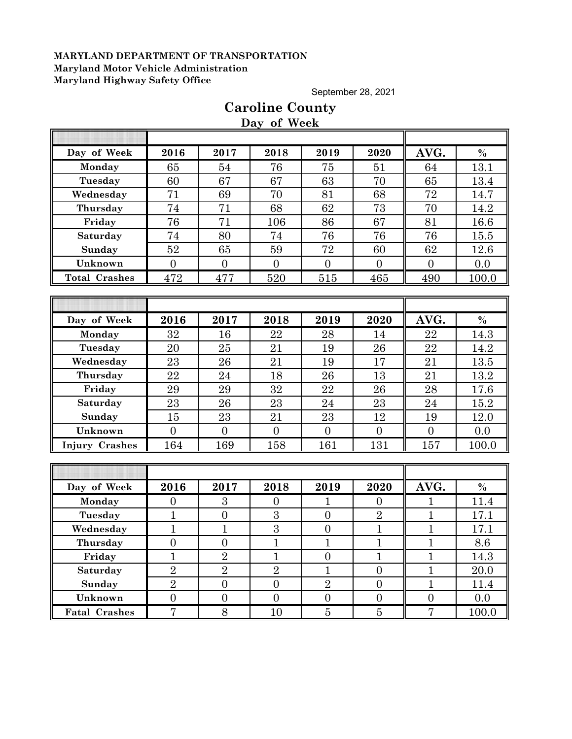September 28, 2021

# **Day of Week Day of Week 2016 2017 2018 2019 2020 AVG. % Monday | 65 | 54 | 76 | 75 | 51 || 64 | 13.1 Tuesday | 60 | 67 | 67 | 63 | 70 <b>||** 65 | 13.4 **Wednesday | 71 | 69 | 70 | 81 | 68 || 72 | 14.7 Thursday | 74 | 71 | 68 | 62 | 73 || 70 | 14.2 Friday | 76 | 71 | 106 | 86 | 67 || 81 | 16.6** Saturday | 74 | 80 | 74 | 76 | 76 | 76 | 15.5 **Sunday | 52 | 65 | 59 | 72 | 60 || 62 | 12.6 Unknown** 0 0 0 0 0 0 0.0 **Total Crashes** 472 477 520 515 465 490 100.0 **Day of Week 2016 2017 2018 2019 2020 AVG. % Monday | 32 | 16 | 22 | 28 | 14 || 22 | 14.3 Tuesday** 20 25 21 19 26 22 14.2 **Wednesday | 23 | 26 | 21 | 19 | 17 || 21 | 13.5 Thursday | 22 | 24 | 18 | 26 | 13 || 21 | 13.2 Friday | 29 | 29 | 32 | 22 | 26 || 28 | 17.6 Saturday** 23 26 23 24 23 24 15.2 **Sunday | 15 | 23 | 21 | 23 | 12 || 19 | 12.0 Unknown** 0 0 0 0 0 0 0.0 **Injury Crashes** 164 169 158 161 161 157 100.0 **Day of Week 2016 2017 2018 2019 2020 AVG. % Monday | 0 | 3 | 0 | 1 | 0 | 1 | 11.4 Tuesday** 1 0 3 0 2 1 17.1 **Wednesday** 1 1 1 3 0 1 1 1 17.1 **Thursday | 0 | 0 | 1 | 1 | 1 | 1 | 8.6 Friday | 1 | 2 | 1 | 0 | 1 | 1 | 1**4.3 **Saturday 2 2 2 2 1 0 1 20.0 Sunday | 2 | 0 | 0 | 2 | 0 | 1 | 11.4**

**Unknown 0 0 0 0 0 0 0 0 0 0 Fatal Crashes** 7 8 10 5 5 7 100.0

# **Caroline County**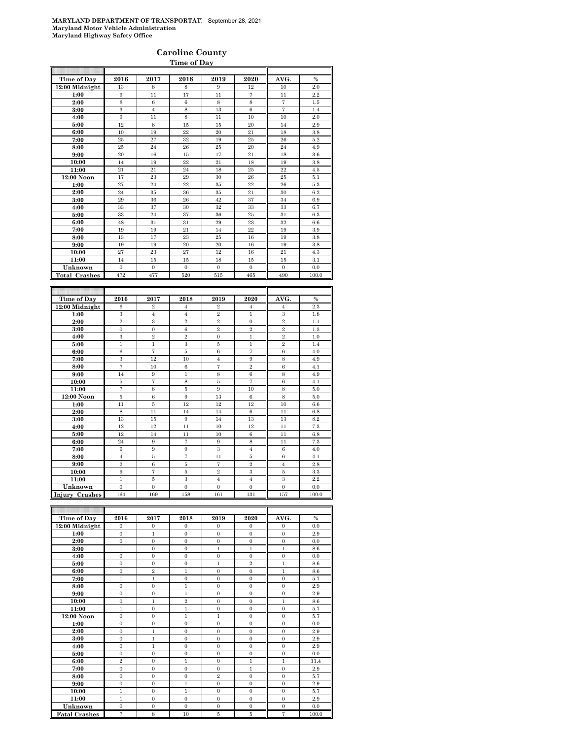## **Caroline County**

| Time of Day          |                  |                  |                  |                  |                  |                  |               |  |  |  |
|----------------------|------------------|------------------|------------------|------------------|------------------|------------------|---------------|--|--|--|
| Time of Day          | 2016             | 2017             | 2018             | 2019             | 2020             | AVG.             | $\%$          |  |  |  |
| 12:00 Midnight       | 13               | 8                | 8                | 9                | 12               | 10               | 2.0           |  |  |  |
| 1:00                 | 9                | 11               | 17               | 11               | 7                | 11               | 2.2           |  |  |  |
| 2:00                 | 8                | $\,6$            | $\,6$            | 8                | 8                | 7                | 1.5           |  |  |  |
| 3:00                 | 3                | $\overline{4}$   | $\,$ 8 $\,$      | 13               | 6                | $\overline{7}$   | 1.4           |  |  |  |
| 4:00                 | 9                | 11               | 8                | 11               | 10               | 10               | 2.0           |  |  |  |
| 5:00                 | 12               | 8                | 15               | 15               | 20               | 14               | 2.9           |  |  |  |
| 6:00                 | 10               | 19               | 22               | 20               | 21               | 18               | 3.8           |  |  |  |
| 7:00                 | 25               | 27               | 32               | 19               | 25               | 26               | 5.2           |  |  |  |
| 8:00                 | 25               | 24               | 26               | 25               | 20               | 24               | 4.9           |  |  |  |
| 9:00                 | $20\,$           | 16               | 15               | 17               | 21               | 18               | 3.6           |  |  |  |
| 10:00                | 14               | 19               | 22               | 21               | 18               | 19               | 3.8           |  |  |  |
| 11:00                | 21               | 21               | 24               | 18               | 25               | 22               | 4.5           |  |  |  |
| 12:00 Noon           | 17               | 23               | 29               | 30               | 26               | 25               | 5.1           |  |  |  |
| 1:00                 | 27               | 24               | 22               | 35               | 22               | 26               | 5.3           |  |  |  |
| 2:00                 | 24               | 35               | 36               | 35               | 21               | 30               | 6.2           |  |  |  |
| 3:00                 | 29               | 36               | 26               | 42               | 37               | 34               | 6.9           |  |  |  |
| 4:00                 | 33               | 37               | 30               | 32               | 33               | 33               | 6.7           |  |  |  |
| 5:00                 | 33               | 24               | 37               | 36               | 25               | 31               | 6.3           |  |  |  |
| 6:00                 | 48               | 31               | 31               | 29               | 23               | 32               | 6.6           |  |  |  |
| 7:00                 | 19               | 19               | 21               | 14               | 22               | 19               | 3.9           |  |  |  |
| 8:00                 | 13               | 17               | 23               | 25               | 16               | 19               | 3.8           |  |  |  |
| 9:00                 | 19               | 19               | 20               | 20               | 16               | 19               | 3.8           |  |  |  |
| 10:00                | 27               | 23               | 27               | 12               | 16               | 21               | 4.3           |  |  |  |
| 11:00                | 14               | 15               | 15               | 18               | 15               | 15               | 3.1           |  |  |  |
| Unknown              | $\boldsymbol{0}$ | $\boldsymbol{0}$ | $\boldsymbol{0}$ | $\boldsymbol{0}$ | $\boldsymbol{0}$ | $\boldsymbol{0}$ | 0.0           |  |  |  |
| <b>Total Crashes</b> | 472              | 477              | 520              | 515              | 465              | 490              | 100.0         |  |  |  |
|                      |                  |                  |                  |                  |                  |                  |               |  |  |  |
|                      |                  |                  |                  |                  |                  |                  |               |  |  |  |
| Time of Day          | 2016             | 2017             | 2018             | 2019             | 2020             | AVG.             | $\frac{0}{0}$ |  |  |  |
| 12:00 Midnight       | 6                | $\overline{2}$   | $\overline{4}$   | $\overline{2}$   | $\overline{4}$   | $\overline{4}$   | 2.3           |  |  |  |
| 1:00                 | 3                | $\overline{4}$   | $\overline{4}$   | $\overline{2}$   | $\mathbf{1}$     | 3                | 1.8           |  |  |  |
| 2:00                 | $\overline{2}$   | 3                | $\overline{2}$   | $\overline{2}$   | $\overline{0}$   | $\overline{2}$   | 1.1           |  |  |  |
| 3:00                 | $\boldsymbol{0}$ | $\boldsymbol{0}$ | $\,6$            | $\overline{2}$   | $\overline{2}$   | $\overline{2}$   | 1.3           |  |  |  |
| 4:00                 | 3                | $\overline{2}$   | $\overline{2}$   | $\mathbf{0}$     | $\mathbf 1$      | $\overline{2}$   | 1.0           |  |  |  |
| 5:00                 | $\mathbf{1}$     | $\mathbf{1}$     | 3                | 5                | $\mathbf{1}$     | $\overline{2}$   | 1.4           |  |  |  |
| 6:00                 | 6                | $\overline{7}$   | 5                | 6                | $\overline{7}$   | 6                | 4.0           |  |  |  |
| 7:00                 | 3                | 12               | 10               | $\overline{4}$   | 9                | 8                | 4.9           |  |  |  |
| 8:00                 | $\overline{7}$   | 10               | $\,6$            | $\overline{7}$   | $\overline{2}$   | 6                | 4.1           |  |  |  |
| 9:00                 | 14               | 9                | $\mathbf{1}$     | 8                | 6                | 8                | 4.9           |  |  |  |
| 10:00                | 5                | 7                | 8                | 5                | $\overline{7}$   | 6                | 4.1           |  |  |  |
| 11:00                | 7                | 8                | 5                | 9                | 10               | 8                | 5.0           |  |  |  |
| 12:00 Noon           | 5                | 6                | 9                | 13               | 6                | 8                | 5.0           |  |  |  |
| 1:00                 | 11               | 5                | 12               | 12               | 12               | 10               | 6.6           |  |  |  |
| 2:00                 | 8                | 11               | 14               | 14               | 6                | 11               | 6.8           |  |  |  |
| 3:00                 | 13               | 15               | 9                | 14               | 13               | 13               | 8.2           |  |  |  |
| 4:00                 | 12               | 12               | 11               | 10               | 12               | 11               | 7.3           |  |  |  |
| 5:00                 | 12               | 14               | 11               | 10               | 6                | 11               | 6.8           |  |  |  |

| 3:00              | 13             | 15       | 9              | 14             | 13           | 13       | 8.2   |
|-------------------|----------------|----------|----------------|----------------|--------------|----------|-------|
| 4:00              | 12             | 12       | 11             | 10             | 12           | 11       | 7.3   |
| 5:00              | 12             | 14       | 11             | 10             | 6            | 11       | 6.8   |
| 6:00              | 24             | 9        | $\overline{ }$ | 9              | 8            | 11       | 7.3   |
| 7:00              | 6              | 9        | 9              | 3              |              | 6        | 4.0   |
| 8:00              | 4              | 5        |                | 11             | 5            | 6        | 4.1   |
| 9:00              | $\overline{2}$ | 6        | 5              | π              | $\mathbf{2}$ |          | 2.8   |
| 10:00             | 9              |          | 5              | $\overline{2}$ | 3            | 5        | 3.3   |
| 11:00             |                | 5        | 3              | 4              | 4            | 3        | 2.2   |
| Unknown           | 0              | $\Omega$ | 0              | 0              | $\Omega$     | $\Omega$ | 0.0   |
| Crashes<br>Injury | 164            | 169      | 158            | 161            | 131          | 157      | 100.0 |

| Time of Day          | 2016           | 2017           | 2018           | 2019           | 2020         | AVG.           | $\frac{0}{0}$ |
|----------------------|----------------|----------------|----------------|----------------|--------------|----------------|---------------|
| 12:00 Midnight       | $\theta$       | $\mathbf{0}$   | $\mathbf{0}$   | $\mathbf{0}$   | $\Omega$     | $\mathbf{0}$   | 0.0           |
| 1:00                 | $\Omega$       | 1              | $\Omega$       | $\Omega$       | $\Omega$     | $\Omega$       | 2.9           |
| 2:00                 | $\Omega$       | $\Omega$       | $\Omega$       | $\Omega$       | $\Omega$     | $\Omega$       | 0.0           |
| 3:00                 | $\mathbf{1}$   | $\mathbf{0}$   | $\mathbf{0}$   | $\mathbf{1}$   | $\mathbf{1}$ | $\mathbf{1}$   | 8.6           |
| 4:00                 | $\Omega$       | $\mathbf{0}$   | $\mathbf{0}$   | $\Omega$       | $\Omega$     | $\mathbf{0}$   | 0.0           |
| 5:00                 | $\Omega$       | $\Omega$       | $\Omega$       | 1              | $\mathbf{2}$ | $\mathbf{1}$   | 8.6           |
| 6:00                 | $\mathbf{0}$   | $\overline{2}$ | 1              | $\Omega$       | $\Omega$     | $\mathbf{1}$   | 8.6           |
| 7:00                 | $\mathbf{1}$   | 1              | $\Omega$       | $\Omega$       | $\Omega$     | $\theta$       | 5.7           |
| 8:00                 | $\mathbf{0}$   | $\overline{0}$ | 1              | $\Omega$       | $\Omega$     | $\overline{0}$ | 2.9           |
| 9:00                 | $\overline{0}$ | $\overline{0}$ | $\mathbf{1}$   | $\overline{0}$ | $\mathbf{0}$ | $\overline{0}$ | 2.9           |
| 10:00                | $\Omega$       | 1              | $\overline{2}$ | $\Omega$       | $\Omega$     | 1              | 8.6           |
| 11:00                | $\mathbf{1}$   | $\overline{0}$ | $\mathbf{1}$   | $\Omega$       | $\Omega$     | $\overline{0}$ | 5.7           |
| 12:00 Noon           | $\Omega$       | $\mathbf{0}$   | $\mathbf{1}$   | $\mathbf{1}$   | $\Omega$     | $\overline{0}$ | 5.7           |
| 1:00                 | $\overline{0}$ | $\overline{0}$ | $\overline{0}$ | $\overline{0}$ | $\mathbf{0}$ | $\overline{0}$ | 0.0           |
| 2:00                 | $\Omega$       | $\mathbf{1}$   | $\overline{0}$ | $\Omega$       | $\Omega$     | $\overline{0}$ | 2.9           |
| 3:00                 | $\Omega$       | $\mathbf{1}$   | $\Omega$       | $\Omega$       | $\Omega$     | $\theta$       | 2.9           |
| 4:00                 | $\mathbf{0}$   | $\mathbf{1}$   | $\mathbf{0}$   | $\mathbf{0}$   | $\Omega$     | $\overline{0}$ | 2.9           |
| 5:00                 | $\mathbf{0}$   | $\overline{0}$ | $\mathbf{0}$   | $\overline{0}$ | $\mathbf{0}$ | $\mathbf{0}$   | 0.0           |
| 6:00                 | $\overline{2}$ | $\overline{0}$ | $\mathbf{1}$   | $\mathbf{0}$   | $\mathbf{1}$ | $\mathbf{1}$   | 11.4          |
| 7:00                 | $\Omega$       | $\overline{0}$ | $\overline{0}$ | $\Omega$       | $\mathbf{1}$ | $\overline{0}$ | 2.9           |
| 8:00                 | $\Omega$       | $\overline{0}$ | $\overline{0}$ | $\overline{2}$ | $\Omega$     | $\theta$       | 5.7           |
| 9:00                 | $\mathbf{0}$   | $\mathbf{0}$   | $\mathbf{1}$   | $\overline{0}$ | $\Omega$     | $\mathbf{0}$   | 2.9           |
| 10:00                | $\mathbf{1}$   | $\overline{0}$ | $\mathbf{1}$   | $\mathbf{0}$   | $\mathbf{0}$ | $\overline{0}$ | 5.7           |
| 11:00                | $\mathbf{1}$   | $\Omega$       | $\Omega$       | $\Omega$       | $\Omega$     | $\theta$       | 2.9           |
| Unknown              | $\Omega$       | $\mathbf{0}$   | $\mathbf{0}$   | $\mathbf{0}$   | $\Omega$     | $\mathbf{0}$   | 0.0           |
| <b>Fatal Crashes</b> | 7              | 8              | 10             | 5              | 5            | 7              | 100.0         |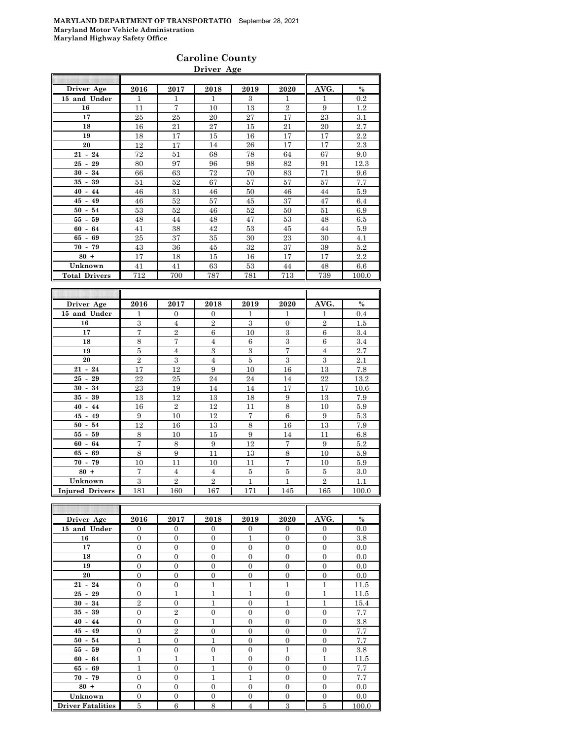### **Caroline County Driver Age**

| Driver Age           | 2016           | 2017           | 2018           | 2019           | 2020           | AVG.           | $\%$           |
|----------------------|----------------|----------------|----------------|----------------|----------------|----------------|----------------|
| 15 and Under         | 1              | $\mathbf{1}$   | $\mathbf{1}$   | 3              | $\mathbf{1}$   | $\mathbf{1}$   | 0.2            |
| 16                   | 11             | $\overline{7}$ | 10             | 13             | $\overline{2}$ | 9              | 1.2            |
| 17                   | 25             | 25             | 20             | 27             | 17             | 23             | 3.1            |
| 18                   | 16             | 21             | 27             | 15             | 21             | 20             | 2.7            |
| 19                   | 18             | 17             | 15             | 16             | 17             | 17             | 2.2            |
| 20                   | 12             | 17             | 14             | 26             | 17             | 17             | 2.3            |
| $21 - 24$            | 72             | 51             | 68             | 78             | 64             | 67             | 9.0            |
| $25 - 29$            | 80             | 97             | 96             | 98             | 82             | 91             | 12.3           |
| $30 - 34$            | 66             | 63             | 72             | 70             | 83             | 71             | 9.6            |
| $35 - 39$            | 51             | 52             | 67             | 57             | 57             | 57             | 7.7            |
| $40 - 44$            | 46             | 31             | 46             | 50             | 46             | 44             | 5.9            |
| $45 - 49$            | 46             | 52             | 57             | 45             | 37             | 47             | 6.4            |
| $50 - 54$            | 53             | 52             | 46             | 52             | 50             | 51             | 6.9            |
| $55 - 59$            | 48             | 44             | 48             | 47             | 53             | 48             | 6.5            |
| $60 - 64$            | 41             | 38             | 42             | 53             | 45             | 44             | 5.9            |
| $65 - 69$            | 25             | 37             | 35             | 30             | 23             | 30             | 4.1            |
| $70 - 79$            | 43             | 36             | 45             | 32             | 37             | 39             | 5.2            |
| $80 +$               | 17             | 18             | 15             | 16             | 17             | 17             | 2.2            |
| Unknown              | 41             | 41             | 63             | 53             | 44             | 48             | 6.6            |
| <b>Total Drivers</b> | 712            | 700            | 787            | 781            | 713            | 739            | 100.0          |
|                      |                |                |                |                |                |                |                |
|                      |                |                |                |                |                |                |                |
| Driver Age           | 2016           | 2017           | 2018           | 2019           | 2020           | AVG.           | $\%$           |
| 15 and Under         | 1              | $\overline{0}$ | $\Omega$       | 1              | 1              | 1              | 0.4            |
| 16                   | 3              | $\overline{4}$ | $\overline{2}$ | 3              | $\mathbf{0}$   | $\,2$          | 1.5            |
| 17                   | $\overline{7}$ | $\Omega$       | $\mathcal{L}$  | 1 <sub>0</sub> | $\overline{Q}$ | $\overline{c}$ | 9 <sub>1</sub> |

|                        | ÷.             | $\checkmark$   | $\checkmark$   | <b>.</b>       | <b>.</b>       | <b>.</b>       | $\cdots$ |
|------------------------|----------------|----------------|----------------|----------------|----------------|----------------|----------|
| 16                     | 3              | $\overline{4}$ | $\overline{2}$ | 3              | $\mathbf{0}$   | $\overline{2}$ | 1.5      |
| 17                     | $\overline{7}$ | $\overline{2}$ | 6              | 10             | 3              | 6              | 3.4      |
| 18                     | 8              | $\overline{7}$ | $\overline{4}$ | 6              | 3              | 6              | 3.4      |
| 19                     | 5              | 4              | 3              | 3              | $\overline{7}$ | $\overline{4}$ | 2.7      |
| 20                     | $\overline{2}$ | 3              | $\overline{4}$ | $\overline{5}$ | 3              | 3              | 2.1      |
| $21 - 24$              | 17             | 12             | 9              | 10             | 16             | 13             | 7.8      |
| $25 - 29$              | 22             | 25             | 24             | 24             | 14             | 22             | 13.2     |
| $30 - 34$              | 23             | 19             | 14             | 14             | 17             | 17             | 10.6     |
| $35 - 39$              | 13             | 12             | 13             | 18             | 9              | 13             | 7.9      |
| $40 - 44$              | 16             | $\overline{2}$ | 12             | 11             | 8              | 10             | 5.9      |
| $45 - 49$              | 9              | 10             | 12             | $\overline{7}$ | 6              | 9              | 5.3      |
| $50 - 54$              | 12             | 16             | 13             | 8              | 16             | 13             | 7.9      |
| $55 - 59$              | 8              | 10             | 15             | 9              | 14             | 11             | 6.8      |
| $60 - 64$              | $\tau$         | 8              | 9              | 12             | $\overline{7}$ | 9              | 5.2      |
| $65 - 69$              | 8              | 9              | 11             | 13             | 8              | 10             | 5.9      |
| $70 - 79$              | 10             | 11             | 10             | 11             | $\tau$         | 10             | 5.9      |
| $80 +$                 | $\overline{7}$ | $\overline{4}$ | $\overline{4}$ | 5              | $\bf 5$        | 5              | 3.0      |
| Unknown                | 3              | $\overline{2}$ | $\overline{2}$ | $\mathbf{1}$   | $\mathbf{1}$   | $\overline{2}$ | 1.1      |
| <b>Injured Drivers</b> | 181            | 160            | 167            | 171            | 145            | 165            | 100.0    |

| Driver Age               | 2016           | 2017           | 2018           | 2019           | 2020           | AVG.           | $\%$  |
|--------------------------|----------------|----------------|----------------|----------------|----------------|----------------|-------|
| 15 and Under             | $\Omega$       | $\overline{0}$ | $\Omega$       | $\overline{0}$ | $\Omega$       | $\Omega$       | 0.0   |
| 16                       | $\mathbf{0}$   | $\overline{0}$ | $\overline{0}$ | 1              | $\overline{0}$ | $\overline{0}$ | 3.8   |
| 17                       | $\mathbf{0}$   | $\overline{0}$ | $\overline{0}$ | $\theta$       | $\mathbf{0}$   | $\overline{0}$ | 0.0   |
| 18                       | $\mathbf{0}$   | $\overline{0}$ | $\overline{0}$ | $\theta$       | $\overline{0}$ | $\overline{0}$ | 0.0   |
| 19                       | $\Omega$       | $\Omega$       | $\Omega$       | $\theta$       | $\theta$       | $\theta$       | 0.0   |
| 20                       | $\overline{0}$ | $\overline{0}$ | $\overline{0}$ | $\overline{0}$ | $\overline{0}$ | $\overline{0}$ | 0.0   |
| $21 - 24$                | $\mathbf{0}$   | $\overline{0}$ | $\mathbf{1}$   | $\mathbf{1}$   | $\mathbf{1}$   | $\mathbf{1}$   | 11.5  |
| $25 - 29$                | $\overline{0}$ | $\overline{1}$ | $\mathbf{1}$   | $\mathbf{1}$   | $\overline{0}$ | 1              | 11.5  |
| $30 - 34$                | $\overline{2}$ | $\overline{0}$ | $\mathbf{1}$   | $\overline{0}$ | 1              | $\overline{1}$ | 15.4  |
| $35 - 39$                | $\mathbf{0}$   | $\overline{2}$ | $\overline{0}$ | $\theta$       | $\overline{0}$ | $\overline{0}$ | 7.7   |
| $40 - 44$                | $\overline{0}$ | $\overline{0}$ | $\mathbf{1}$   | $\theta$       | $\mathbf{0}$   | $\Omega$       | 3.8   |
| $45 - 49$                | $\mathbf{0}$   | $\overline{2}$ | $\overline{0}$ | $\overline{0}$ | $\overline{0}$ | $\overline{0}$ | 7.7   |
| $50 - 54$                | 1              | $\overline{0}$ | $\mathbf{1}$   | $\theta$       | $\Omega$       | $\overline{0}$ | 7.7   |
| $55 - 59$                | $\Omega$       | $\overline{0}$ | $\Omega$       | $\theta$       | 1              | $\overline{0}$ | 3.8   |
| $60 - 64$                | 1              | 1              | $\mathbf{1}$   | $\theta$       | $\Omega$       | $\mathbf{1}$   | 11.5  |
| $65 - 69$                | 1              | $\overline{0}$ | $\mathbf{1}$   | $\theta$       | $\mathbf{0}$   | $\Omega$       | 7.7   |
| $70 - 79$                | $\Omega$       | $\overline{0}$ | 1              | 1              | $\overline{0}$ | $\overline{0}$ | 7.7   |
| $80 +$                   | $\overline{0}$ | $\overline{0}$ | $\overline{0}$ | $\theta$       | $\overline{0}$ | $\overline{0}$ | 0.0   |
| Unknown                  | $\mathbf{0}$   | $\overline{0}$ | $\overline{0}$ | $\overline{0}$ | $\overline{0}$ | $\overline{0}$ | 0.0   |
| <b>Driver Fatalities</b> | 5              | $\,6$          | 8              | 4              | 3              | $\bf 5$        | 100.0 |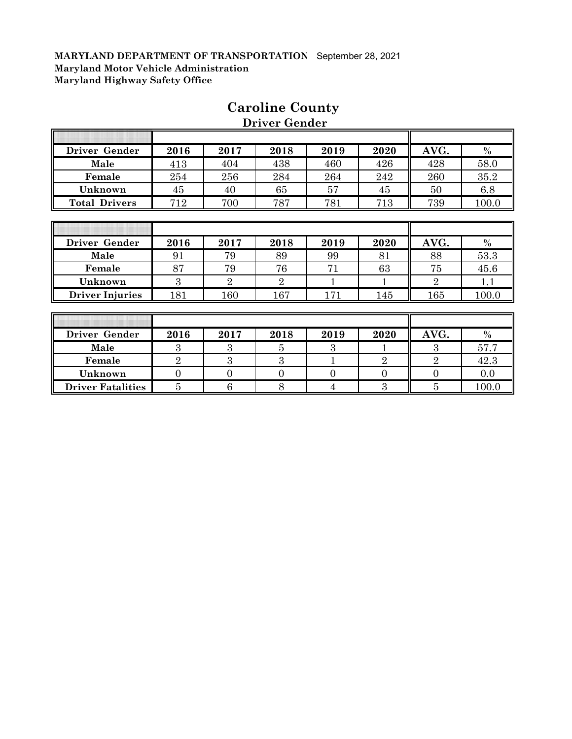Г

| Driver Gender          | 2016           | 2017           | 2018           | 2019          | 2020           | AVG.           | $\%$  |
|------------------------|----------------|----------------|----------------|---------------|----------------|----------------|-------|
| Male                   | 413            | 404            | 438            | 460           | 426            | 428            | 58.0  |
| Female                 | 254            | 256            | 284            | 264           | 242            | 260            | 35.2  |
| Unknown                | 45             | 40             | 65             | 57            | 45             | 50             | 6.8   |
| <b>Total Drivers</b>   | 712            | 700            | 787            | 781           | 713            | 739            | 100.0 |
|                        |                |                |                |               |                |                |       |
|                        |                |                |                |               |                |                |       |
| Driver Gender          | 2016           | 2017           | 2018           | 2019          | 2020           | AVG.           | $\%$  |
| Male                   | 91             | 79             | 89             | 99            | 81             | 88             | 53.3  |
| Female                 | 87             | 79             | 76             | 71            | 63             | 75             | 45.6  |
| Unknown                | 3              | $\overline{2}$ | $\overline{2}$ | 1             |                | $\overline{2}$ | 1.1   |
| <b>Driver Injuries</b> | 181            | 160            | 167            | 171           | 145            | 165            | 100.0 |
|                        |                |                |                |               |                |                |       |
|                        |                |                |                |               |                |                |       |
| Driver Gender          | 2016           | 2017           | 2018           | 2019          | 2020           | AVG.           | $\%$  |
| Male                   | 3              | 3              | 5              | $\mathcal{S}$ | 1              | $\mathcal{S}$  | 57.7  |
| Female                 | $\overline{2}$ | 3              | 3              | 1             | $\overline{2}$ | $\overline{2}$ | 42.3  |

**Unknown** 0 0 0 0 0 0 0.0 **Driver Fatalities** 5 6 6 8 4 3 5 100.0

# **Caroline County**

 **Driver Gender**

╗

ĪĪ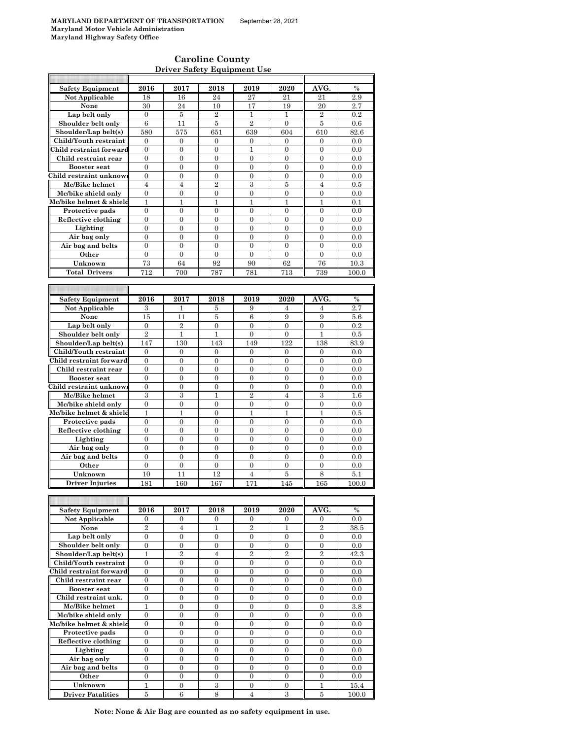h

### **Caroline County Driver Safety Equipment Use**

| <b>Safety Equipment</b>             | 2016             | 2017             | 2018             | 2019                               | 2020                  | AVG.             | $\%$          |
|-------------------------------------|------------------|------------------|------------------|------------------------------------|-----------------------|------------------|---------------|
| Not Applicable                      | 18               | 16               | 24               | 27                                 | 21                    | 21               | 2.9           |
| None                                | 30               | 24               | 10               | 17                                 | 19                    | 20               | 2.7           |
|                                     |                  |                  |                  |                                    |                       |                  |               |
| Lap belt only                       | $\mathbf{0}$     | 5                | $\overline{2}$   | $\mathbf{1}$                       | $\mathbf{1}$          | $\overline{2}$   | 0.2           |
| Shoulder belt only                  | $\,6$            | 11               | 5                | $\overline{2}$                     | $\mathbf{0}$          | 5                | 0.6           |
| Shoulder/Lap belt(s)                | 580              | 575              | 651              | 639                                | 604                   | 610              | 82.6          |
| Child/Youth restraint               | $\mathbf{0}$     | $\mathbf{0}$     |                  | $\mathbf{0}$                       |                       |                  |               |
|                                     |                  |                  | 0                |                                    | $\mathbf{0}$          | 0                | 0.0           |
| Child restraint forward             | $\mathbf{0}$     | $\overline{0}$   | $\overline{0}$   | $\mathbf{1}$                       | $\overline{0}$        | $\overline{0}$   | 0.0           |
| Child restraint rear                | $\boldsymbol{0}$ | $\boldsymbol{0}$ | 0                | 0                                  | $\mathbf{0}$          | 0                | 0.0           |
| <b>Booster seat</b>                 | $\overline{0}$   | $\overline{0}$   | $\mathbf{0}$     | $\overline{0}$                     | $\overline{0}$        | $\overline{0}$   | 0.0           |
| Child restraint unknow:             |                  |                  |                  |                                    |                       |                  |               |
|                                     | $\mathbf{0}$     | 0                | 0                | 0                                  | $\mathbf{0}$          | $\mathbf{0}$     | 0.0           |
| Mc/Bike helmet                      | $\overline{4}$   | $\overline{4}$   | $\overline{2}$   | 3                                  | 5                     | $\overline{4}$   | 0.5           |
| Mc/bike shield only                 | 0                | 0                | $\boldsymbol{0}$ | 0                                  | $\boldsymbol{0}$      | $\boldsymbol{0}$ | 0.0           |
| Mc/bike helmet & shield             | 1                | 1                | 1                | 1                                  | 1                     | 1                | 0.1           |
|                                     |                  |                  |                  |                                    |                       |                  |               |
| Protective pads                     | $\mathbf{0}$     | $\mathbf{0}$     | $\mathbf{0}$     | $\mathbf{0}$                       | $\mathbf{0}$          | $\overline{0}$   | 0.0           |
| Reflective clothing                 | $\boldsymbol{0}$ | $\boldsymbol{0}$ | 0                | 0                                  | $\overline{0}$        | $\boldsymbol{0}$ | 0.0           |
| Lighting                            | $\mathbf{0}$     | $\mathbf{0}$     | $\overline{0}$   | $\mathbf{0}$                       | $\mathbf{0}$          | $\overline{0}$   | 0.0           |
| Air bag only                        | $\mathbf{0}$     | $\overline{0}$   | $\boldsymbol{0}$ | $\boldsymbol{0}$                   | $\boldsymbol{0}$      | $\boldsymbol{0}$ | 0.0           |
|                                     |                  |                  |                  |                                    |                       |                  |               |
| Air bag and belts                   | $\mathbf{0}$     | $\overline{0}$   | $\mathbf{0}$     | $\mathbf{0}$                       | $\overline{0}$        | $\overline{0}$   | 0.0           |
| Other                               | $\mathbf{0}$     | $\mathbf{0}$     | $\mathbf{0}$     | $\mathbf{0}$                       | $\overline{0}$        | $\overline{0}$   | 0.0           |
| Unknown                             | 73               | 64               | 92               | 90                                 | 62                    | 76               | 10.3          |
|                                     |                  |                  |                  |                                    |                       |                  |               |
| <b>Total Drivers</b>                | 712              | 700              | 787              | 781                                | 713                   | 739              | 100.0         |
|                                     |                  |                  |                  |                                    |                       |                  |               |
|                                     |                  |                  |                  |                                    |                       |                  |               |
| Safety Equipment                    | 2016             | 2017             |                  | 2019                               | 2020                  | AVG.             | $\%$          |
|                                     |                  |                  | 2018             |                                    |                       |                  |               |
| Not Applicable                      | 3                | 1                | 5                | 9                                  | 4                     | 4                | 2.7           |
| None                                | 15               | 11               | $\overline{5}$   | 6                                  | 9                     | 9                | 5.6           |
| Lap belt only                       | $\mathbf{0}$     | $\overline{2}$   | $\boldsymbol{0}$ | $\overline{0}$                     | $\mathbf{0}$          | $\overline{0}$   | 0.2           |
|                                     | $\overline{2}$   |                  |                  |                                    |                       |                  |               |
| Shoulder belt only                  |                  | $\mathbf{1}$     | 1                | $\overline{0}$                     | $\Omega$              | $\mathbf{1}$     | 0.5           |
| Shoulder/Lap belt(s)                | 147              | 130              | 143              | 149                                | 122                   | 138              | 83.9          |
| Child/Youth restraint               | $\mathbf{0}$     | $\mathbf{0}$     | $\mathbf{0}$     | $\overline{0}$                     | $\mathbf{0}$          | $\overline{0}$   | 0.0           |
| Child restraint forward             | $\mathbf{0}$     | $\mathbf{0}$     | $\mathbf{0}$     | $\mathbf{0}$                       | $\mathbf{0}$          | $\boldsymbol{0}$ | 0.0           |
|                                     |                  |                  |                  |                                    |                       |                  |               |
| Child restraint rear                | $\mathbf{0}$     | $\overline{0}$   | $\overline{0}$   | $\overline{0}$                     | $\overline{0}$        | $\overline{0}$   | 0.0           |
| <b>Booster</b> seat                 | $\boldsymbol{0}$ | 0                | $\boldsymbol{0}$ | 0                                  | 0                     | $\boldsymbol{0}$ | 0.0           |
| Child restraint unknow              | $\boldsymbol{0}$ | 0                | $\boldsymbol{0}$ | 0                                  | $\overline{0}$        | $\boldsymbol{0}$ | 0.0           |
| Mc/Bike helmet                      | 3                | 3                | $\mathbf{1}$     | $\overline{2}$                     | $\overline{4}$        | 3                | 1.6           |
|                                     |                  |                  |                  |                                    |                       |                  |               |
| Mc/bike shield only                 | $\boldsymbol{0}$ | $\boldsymbol{0}$ | 0                | 0                                  | $\boldsymbol{0}$      | $\boldsymbol{0}$ | 0.0           |
| Mc/bike helmet & shield             | 1                | 1                | $\mathbf{0}$     | 1                                  | 1                     | 1                | 0.5           |
| Protective pads                     | $\boldsymbol{0}$ | 0                | 0                | $\boldsymbol{0}$                   | 0                     | $\boldsymbol{0}$ | 0.0           |
|                                     | $\mathbf{0}$     | $\overline{0}$   | $\overline{0}$   | $\overline{0}$                     | $\overline{0}$        | $\overline{0}$   | 0.0           |
| Reflective clothing                 |                  |                  |                  |                                    |                       |                  |               |
| Lighting                            | $\mathbf{0}$     | $\mathbf{0}$     | $\mathbf{0}$     | $\overline{0}$                     | $\overline{0}$        | $\overline{0}$   | 0.0           |
| Air bag only                        | $\overline{0}$   | $\overline{0}$   | $\overline{0}$   | $\overline{0}$                     | $\overline{0}$        | $\overline{0}$   | 0.0           |
| Air bag and belts                   | $\boldsymbol{0}$ | $\boldsymbol{0}$ | $\overline{0}$   | $\boldsymbol{0}$                   | $\overline{0}$        | $\boldsymbol{0}$ | 0.0           |
|                                     |                  |                  |                  |                                    |                       |                  |               |
| Other                               | 0                | 0                | $\boldsymbol{0}$ | 0                                  | 0                     | 0                | 0.0           |
| Unknown                             | 10               | 11               | 12               | $\overline{4}$                     | 5                     | 8                | 5.1           |
| <b>Driver Injuries</b>              | 181              | 160              | 167              | 171                                | 145                   | 165              | 100.0         |
|                                     |                  |                  |                  |                                    |                       |                  |               |
|                                     |                  |                  |                  |                                    |                       |                  |               |
|                                     |                  |                  |                  |                                    |                       |                  |               |
| <b>Safety Equipment</b>             | 2016             | 2017             | 2018             | 2019                               | 2020                  | AVG.             | $\%$          |
| Not Applicable                      | 0                | 0                | 0                | 0                                  | 0                     | $\mathbf{0}$     | 0.0           |
| None                                | $\overline{2}$   |                  |                  |                                    |                       |                  |               |
|                                     |                  | $\overline{4}$   | 1                | $\boldsymbol{2}$                   | 1                     | $\boldsymbol{2}$ | 38.5          |
| Lap belt only                       | $\overline{0}$   | $\overline{0}$   | $\overline{0}$   | $\overline{0}$                     | $\boldsymbol{0}$      | $\mathbf{0}$     | 0.0           |
| Shoulder belt only                  | $\mathbf{0}$     | 0                | $\boldsymbol{0}$ | $\boldsymbol{0}$                   | $\boldsymbol{0}$      | $\boldsymbol{0}$ | 0.0           |
| Shoulder/Lap belt(s)                | $\mathbf{1}$     | $\overline{2}$   | $\overline{4}$   | $\overline{2}$                     | $\overline{2}$        | $\overline{2}$   | 42.3          |
| Child/Youth restraint               |                  |                  |                  |                                    |                       |                  |               |
|                                     | $\boldsymbol{0}$ | 0                | $\boldsymbol{0}$ | 0                                  | $\boldsymbol{0}$      | $\boldsymbol{0}$ | 0.0           |
| Child restraint forward             | $\boldsymbol{0}$ | 0                | $\boldsymbol{0}$ | 0                                  | $\boldsymbol{0}$      | $\boldsymbol{0}$ | 0.0           |
| Child restraint rear                | $\boldsymbol{0}$ | $\boldsymbol{0}$ | $\boldsymbol{0}$ | $\boldsymbol{0}$                   | $\boldsymbol{0}$      | $\boldsymbol{0}$ | 0.0           |
| Booster seat                        | $\boldsymbol{0}$ | $\boldsymbol{0}$ | $\boldsymbol{0}$ | $\boldsymbol{0}$                   | $\boldsymbol{0}$      | $\boldsymbol{0}$ | 0.0           |
|                                     |                  |                  |                  |                                    |                       |                  |               |
| Child restraint unk.                | $\boldsymbol{0}$ | $\boldsymbol{0}$ | $\boldsymbol{0}$ | $\boldsymbol{0}$                   | $\mathbf{0}$          | $\boldsymbol{0}$ | 0.0           |
| Mc/Bike helmet                      | 1                | 0                | $\boldsymbol{0}$ | $\boldsymbol{0}$                   | $\boldsymbol{0}$      | $\boldsymbol{0}$ | 3.8           |
| Mc/bike shield only                 | $\boldsymbol{0}$ | $\mathbf{0}$     | $\mathbf{0}$     | $\mathbf{0}$                       | $\mathbf{0}$          | $\overline{0}$   | 0.0           |
| Mc/bike helmet & shield             | $\mathbf{0}$     | $\mathbf{0}$     | $\mathbf{0}$     | $\overline{0}$                     | $\overline{0}$        | $\overline{0}$   | 0.0           |
|                                     |                  |                  |                  |                                    |                       |                  |               |
| Protective pads                     | $\boldsymbol{0}$ | $\overline{0}$   | $\boldsymbol{0}$ | $\boldsymbol{0}$                   | $\overline{0}$        | $\overline{0}$   | 0.0           |
| Reflective clothing                 | $\boldsymbol{0}$ | $\boldsymbol{0}$ | $\boldsymbol{0}$ | $\boldsymbol{0}$                   | $\boldsymbol{0}$      | $\boldsymbol{0}$ | 0.0           |
| Lighting                            |                  |                  |                  |                                    | $\mathbf{0}$          | 0                | 0.0           |
|                                     |                  |                  |                  |                                    |                       |                  |               |
|                                     | $\boldsymbol{0}$ | 0                | 0                | 0                                  |                       |                  |               |
| Air bag only                        | $\overline{0}$   | $\overline{0}$   | $\overline{0}$   | $\overline{0}$                     | $\overline{0}$        | $\overline{0}$   | 0.0           |
| Air bag and belts                   | $\boldsymbol{0}$ | $\mathbf{0}$     | $\boldsymbol{0}$ | 0                                  | $\mathbf{0}$          | 0                | 0.0           |
| Other                               | $\mathbf{0}$     | $\overline{0}$   | $\boldsymbol{0}$ | $\boldsymbol{0}$                   | $\boldsymbol{0}$      | $\boldsymbol{0}$ | 0.0           |
|                                     |                  |                  |                  |                                    |                       |                  |               |
| Unknown<br><b>Driver Fatalities</b> | 1<br>5           | 0<br>6           | $\,3$<br>8       | $\boldsymbol{0}$<br>$\overline{4}$ | $\boldsymbol{0}$<br>3 | 1<br>5           | 15.4<br>100.0 |

**Note: None & Air Bag are counted as no safety equipment in use.**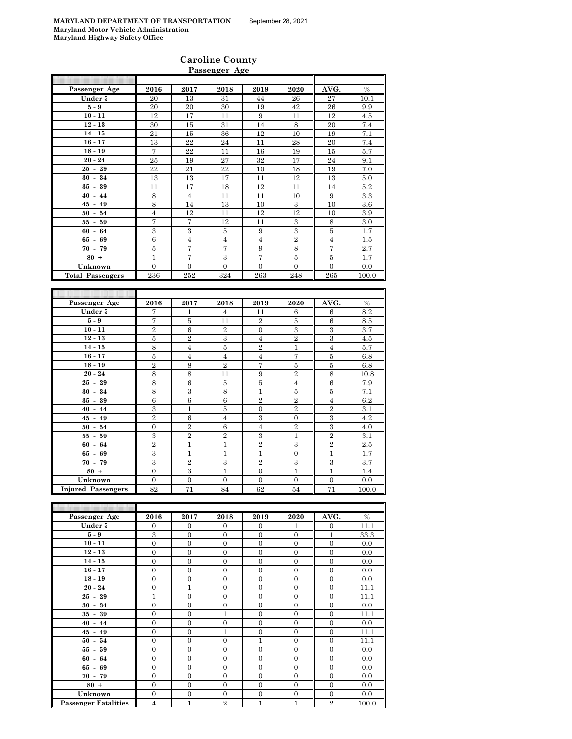|                         |                |                | <b>Caroline County</b> |                |                |                |         |
|-------------------------|----------------|----------------|------------------------|----------------|----------------|----------------|---------|
|                         |                |                | Passenger Age          |                |                |                |         |
| Passenger Age           | 2016           | 2017           | 2018                   | 2019           | 2020           | AVG.           | $\%$    |
| Under 5                 | 20             | 13             | 31                     | 44             | 26             | 27             | 10.1    |
| $5-9$                   | 20             | 20             | 30                     | 19             | 42             | 26             | 9.9     |
| $10 - 11$               | 12             | 17             | 11                     | 9              | 11             | 12             | 4.5     |
| $12 - 13$               | 30             | 15             | 31                     | 14             | 8              | 20             | 7.4     |
| $14 - 15$               | 21             | 15             | 36                     | 12             | 10             | 19             | 7.1     |
| $16 - 17$               | 13             | 22             | 24                     | 11             | 28             | 20             | 7.4     |
| $18 - 19$               | $\overline{7}$ | 22             | 11                     | 16             | 19             | 15             | 5.7     |
| $20 - 24$               | 25             | 19             | 27                     | 32             | 17             | 24             | 9.1     |
| $25 - 29$               | 22             | 21             | 22                     | 10             | 18             | 19             | 7.0     |
| $30 - 34$               | 13             | 13             | 17                     | 11             | 12             | 13             | 5.0     |
| $35 - 39$               | 11             | 17             | 18                     | 12             | 11             | 14             | 5.2     |
| $40 - 44$               | 8              | $\overline{4}$ | 11                     | 11             | 10             | 9              | $3.3\,$ |
| $45 - 49$               | 8              | 14             | 13                     | 10             | 3              | 10             | 3.6     |
| $50 - 54$               | $\overline{4}$ | 12             | 11                     | 12             | 12             | 10             | 3.9     |
| $55 - 59$               | 7              | 7              | 12                     | 11             | 3              | 8              | 3.0     |
| $60 - 64$               | $\,3$          | 3              | $\bf 5$                | 9              | 3              | $\overline{5}$ | 1.7     |
| $65 - 69$               | 6              | $\overline{4}$ | $\overline{4}$         | $\overline{4}$ | $\overline{2}$ | $\overline{4}$ | 1.5     |
| $70 - 79$               | $\bf 5$        | $\overline{7}$ | 7                      | 9              | 8              | 7              | 2.7     |
| $80 +$                  | $\mathbf{1}$   | 7              | $\mathbf{3}$           | 7              | $\overline{5}$ | $\overline{5}$ | 1.7     |
| Unknown                 | $\overline{0}$ | $\overline{0}$ | $\overline{0}$         | $\overline{0}$ | $\overline{0}$ | $\overline{0}$ | 0.0     |
| <b>Total Passengers</b> | 236            | 252            | 324                    | 263            | 248            | 265            | 100.0   |

| Passenger Age             | 2016           | 2017           | 2018           | 2019           | 2020                    | AVG.           | $\%$  |
|---------------------------|----------------|----------------|----------------|----------------|-------------------------|----------------|-------|
| Under 5                   | 7              | 1              | $\overline{4}$ | 11             | 6                       | 6              | 8.2   |
| $5-9$                     | 7              | 5              | 11             | $\overline{2}$ | 5                       | 6              | 8.5   |
| $10 - 11$                 | $\overline{2}$ | 6              | $\overline{2}$ | $\Omega$       | $\mathbf{3}$            | 3              | 3.7   |
| $12 - 13$                 | 5              | $\overline{2}$ | 3              | $\overline{4}$ | $\overline{2}$          | 3              | 4.5   |
| $14 - 15$                 | 8              | $\overline{4}$ | 5              | $\overline{2}$ | 1                       | $\overline{4}$ | 5.7   |
| $16 - 17$                 | 5              | $\overline{4}$ | $\overline{4}$ | $\overline{4}$ | 7                       | 5              | 6.8   |
| $18 - 19$                 | $\overline{2}$ | 8              | $\overline{2}$ | 7              | 5                       | $\overline{5}$ | 6.8   |
| $20 - 24$                 | 8              | 8              | 11             | 9              | $\overline{2}$          | 8              | 10.8  |
| $25 - 29$                 | 8              | 6              | 5              | 5              | $\overline{4}$          | 6              | 7.9   |
| $30 - 34$                 | 8              | 3              | 8              | 1              | $\overline{5}$          | 5              | 7.1   |
| $35 - 39$                 | 6              | 6              | 6              | $\overline{2}$ | $\overline{2}$          | $\overline{4}$ | 6.2   |
| $40 - 44$                 | 3              | $\mathbf{1}$   | $\overline{5}$ | $\Omega$       | $\overline{2}$          | $\overline{2}$ | 3.1   |
| $45 - 49$                 | $\overline{2}$ | 6              | $\overline{4}$ | 3              | $\Omega$                | 3              | 4.2   |
| $50 - 54$                 | $\Omega$       | $\overline{2}$ | 6              | $\overline{4}$ | $\overline{2}$          | 3              | 4.0   |
| $55 - 59$                 | 3              | $\overline{2}$ | $\overline{2}$ | 3              | 1                       | $\overline{2}$ | 3.1   |
| $60 - 64$                 | $\overline{2}$ | 1              | 1              | $\overline{2}$ | $\overline{\mathbf{3}}$ | $\overline{2}$ | 2.5   |
| $65 - 69$                 | 3              | 1              | 1              | 1              | $\Omega$                | $\mathbf{1}$   | 1.7   |
| $70 - 79$                 | 3              | $\overline{2}$ | 3              | $\overline{2}$ | 3                       | 3              | 3.7   |
| $80 +$                    | $\mathbf{0}$   | 3              | 1              | $\Omega$       | 1                       | 1              | 1.4   |
| Unknown                   | $\mathbf{0}$   | $\mathbf{0}$   | $\overline{0}$ | $\Omega$       | $\mathbf{0}$            | $\mathbf{0}$   | 0.0   |
| <b>Injured Passengers</b> | 82             | 71             | 84             | 62             | 54                      | 71             | 100.0 |

| Passenger Age               | 2016           | 2017         | 2018           | 2019         | 2020     | AVG.           | $\%$  |
|-----------------------------|----------------|--------------|----------------|--------------|----------|----------------|-------|
| Under 5                     | $\overline{0}$ | $\Omega$     | $\Omega$       | $\Omega$     | 1        | $\Omega$       | 11.1  |
| $5-9$                       | 3              | $\mathbf{0}$ | $\mathbf{0}$   | $\mathbf{0}$ | $\Omega$ | $\mathbf{1}$   | 33.3  |
| $10 - 11$                   | $\Omega$       | $\Omega$     | $\Omega$       | $\Omega$     | $\Omega$ | $\Omega$       | 0.0   |
| $12 - 13$                   | $\mathbf{0}$   | $\mathbf{0}$ | $\Omega$       | $\Omega$     | $\Omega$ | $\Omega$       | 0.0   |
| $14 - 15$                   | $\Omega$       | $\Omega$     | $\Omega$       | $\Omega$     | $\Omega$ | $\Omega$       | 0.0   |
| $16 - 17$                   | $\Omega$       | $\Omega$     | $\Omega$       | $\Omega$     | $\Omega$ | $\Omega$       | 0.0   |
| $18 - 19$                   | $\Omega$       | $\Omega$     | $\Omega$       | $\Omega$     | $\Omega$ | $\Omega$       | 0.0   |
| $20 - 24$                   | $\mathbf{0}$   | 1            | $\Omega$       | $\Omega$     | $\Omega$ | $\Omega$       | 11.1  |
| $25 - 29$                   | $\mathbf{1}$   | $\mathbf{0}$ | $\mathbf{0}$   | $\Omega$     | $\Omega$ | $\Omega$       | 11.1  |
| $30 - 34$                   | $\Omega$       | $\Omega$     | $\Omega$       | $\Omega$     | $\Omega$ | $\Omega$       | 0.0   |
| $35 - 39$                   | $\Omega$       | $\Omega$     | 1              | $\Omega$     | $\Omega$ | $\Omega$       | 11.1  |
| $40 - 44$                   | $\overline{0}$ | $\Omega$     | $\Omega$       | $\Omega$     | $\Omega$ | $\Omega$       | 0.0   |
| $45 - 49$                   | $\Omega$       | $\Omega$     | 1              | $\Omega$     | $\Omega$ | $\Omega$       | 11.1  |
| $50 - 54$                   | $\Omega$       | $\Omega$     | $\Omega$       | $\mathbf{1}$ | $\Omega$ | $\Omega$       | 11.1  |
| $55 - 59$                   | $\overline{0}$ | $\Omega$     | $\Omega$       | $\Omega$     | $\Omega$ | $\Omega$       | 0.0   |
| $60 - 64$                   | $\Omega$       | $\Omega$     | $\Omega$       | $\Omega$     | $\Omega$ | $\Omega$       | 0.0   |
| $65 - 69$                   | $\mathbf{0}$   | $\Omega$     | $\Omega$       | $\Omega$     | $\Omega$ | $\Omega$       | 0.0   |
| $70 - 79$                   | $\mathbf{0}$   | $\Omega$     | $\Omega$       | $\Omega$     | $\Omega$ | $\Omega$       | 0.0   |
| $80 +$                      | $\overline{0}$ | $\Omega$     | $\Omega$       | $\mathbf{0}$ | $\Omega$ | $\Omega$       | 0.0   |
| Unknown                     | $\Omega$       | $\Omega$     | $\Omega$       | $\Omega$     | $\Omega$ | $\Omega$       | 0.0   |
| <b>Passenger Fatalities</b> | 4              | 1            | $\overline{2}$ | $\mathbf{1}$ | 1        | $\overline{2}$ | 100.0 |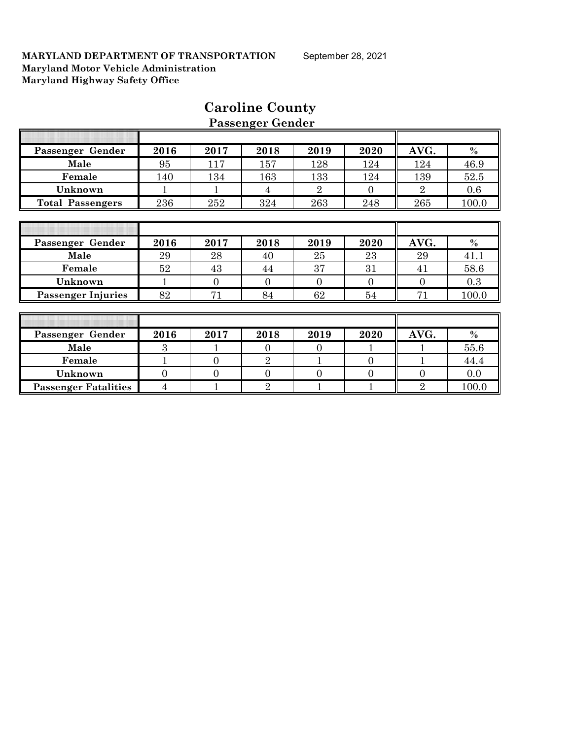| Passenger Gender            | 2016           | 2017           | 2018           | 2019           | 2020           | AVG.           | $\%$  |
|-----------------------------|----------------|----------------|----------------|----------------|----------------|----------------|-------|
| Male                        | 95             | 117            | 157            | 128            | 124            | 124            | 46.9  |
| Female                      | 140            | 134            | 163            | 133            | 124            | 139            | 52.5  |
| Unknown                     |                |                | 4              | $\overline{2}$ | $\Omega$       | $\overline{2}$ | 0.6   |
| <b>Total Passengers</b>     | 236            | 252            | 324            | 263            | 248            | 265            | 100.0 |
|                             |                |                |                |                |                |                |       |
|                             |                |                |                |                |                |                |       |
| Passenger Gender            | 2016           | 2017           | 2018           | 2019           | 2020           | AVG.           | $\%$  |
| Male                        | 29             | 28             | 40             | 25             | 23             | 29             | 41.1  |
| Female                      | 52             | 43             | 44             | 37             | 31             | 41             | 58.6  |
| Unknown                     | $\mathbf{1}$   | $\overline{0}$ | $\overline{0}$ | $\overline{0}$ | $\overline{0}$ | $\theta$       | 0.3   |
| <b>Passenger Injuries</b>   | 82             | 71             | 84             | 62             | 54             | 71             | 100.0 |
|                             |                |                |                |                |                |                |       |
|                             |                |                |                |                |                |                |       |
| Passenger Gender            | 2016           | 2017           | 2018           | 2019           | 2020           | AVG.           | $\%$  |
| Male                        | 3              |                | $\theta$       | $\overline{0}$ |                |                | 55.6  |
| Female                      | 1              | $\Omega$       | $\overline{2}$ |                | $\Omega$       | 1              | 44.4  |
| Unknown                     | $\overline{0}$ | $\overline{0}$ | $\overline{0}$ | $\overline{0}$ | $\overline{0}$ | $\Omega$       | 0.0   |
| <b>Passenger Fatalities</b> | 4              |                | $\overline{2}$ |                |                | $\overline{2}$ | 100.0 |

# **Caroline County Passenger Gender**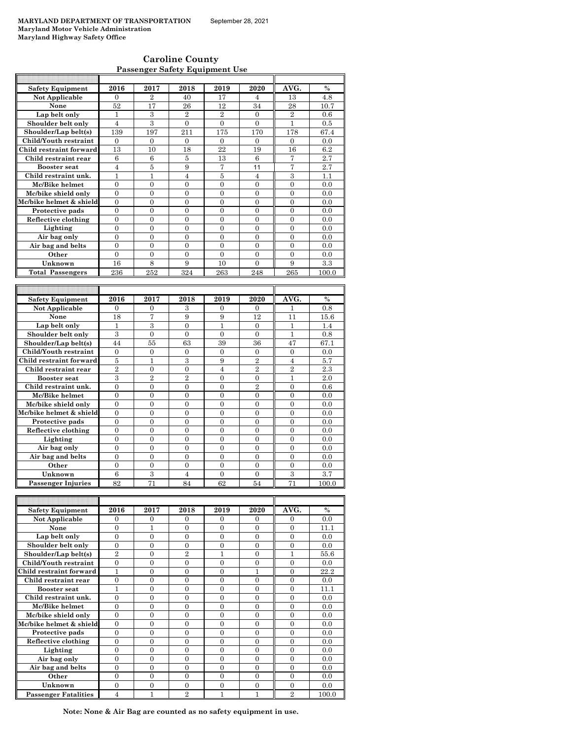| <b>Caroline County</b>                |  |
|---------------------------------------|--|
| <b>Passenger Safety Equipment Use</b> |  |

| <b>Safety Equipment</b> | 2016             | 2017             | 2018             | 2019             | 2020             | AVG.           | $\frac{0}{0}$ |
|-------------------------|------------------|------------------|------------------|------------------|------------------|----------------|---------------|
| Not Applicable          | $\Omega$         | $\overline{2}$   | 40               | 17               | 4                | 13             | 4.8           |
| None                    | 52               | 17               | 26               | 12               | 34               | 28             | 10.7          |
| Lap belt only           | 1                | 3                | $\overline{2}$   | $\overline{2}$   | $\overline{0}$   | $\overline{2}$ | $0.6\,$       |
| Shoulder belt only      | $\overline{4}$   | 3                | $\overline{0}$   | $\overline{0}$   | $\mathbf{0}$     | $\mathbf{1}$   | 0.5           |
| Shoulder/Lap belt(s)    | 139              | 197              | 211              | 175              | 170              | 178            | 67.4          |
| Child/Youth restraint   | $\Omega$         | $\Omega$         | $\Omega$         | $\Omega$         | $\Omega$         | $\Omega$       | 0.0           |
| Child restraint forward | 13               | 10               | 18               | 22               | 19               | 16             | 6.2           |
| Child restraint rear    | 6                | 6                | $\overline{5}$   | 13               | 6                | 7              | 2.7           |
| <b>Booster</b> seat     | $\overline{4}$   | 5                | 9                | 7                | 11               | 7              | 2.7           |
| Child restraint unk.    | $\mathbf{1}$     | $\mathbf{1}$     | $\overline{4}$   | 5                | $\overline{4}$   | 3              | 1.1           |
| Mc/Bike helmet          | $\overline{0}$   | $\overline{0}$   | $\overline{0}$   | $\overline{0}$   | $\overline{0}$   | $\overline{0}$ | 0.0           |
| Mc/bike shield only     | $\theta$         | $\overline{0}$   | $\overline{0}$   | $\mathbf{0}$     | $\overline{0}$   | $\overline{0}$ | 0.0           |
| Mc/bike helmet & shield | $\theta$         | $\theta$         | $\theta$         | $\theta$         | $\theta$         | $\theta$       | 0.0           |
| Protective pads         | $\overline{0}$   | $\overline{0}$   | $\overline{0}$   | $\overline{0}$   | $\overline{0}$   | $\overline{0}$ | 0.0           |
| Reflective clothing     | $\overline{0}$   | $\boldsymbol{0}$ | $\overline{0}$   | $\mathbf{0}$     | $\mathbf{0}$     | $\overline{0}$ | $_{0.0}$      |
| Lighting                | $\boldsymbol{0}$ | $\boldsymbol{0}$ | $\boldsymbol{0}$ | $\boldsymbol{0}$ | $\overline{0}$   | $\overline{0}$ | 0.0           |
| Air bag only            | $\overline{0}$   | $\overline{0}$   | $\overline{0}$   | $\overline{0}$   | $\overline{0}$   | $\overline{0}$ | $_{0.0}$      |
| Air bag and belts       | $\overline{0}$   | $\overline{0}$   | $\overline{0}$   | $\mathbf{0}$     | $\mathbf{0}$     | $\overline{0}$ | 0.0           |
| Other                   | $\overline{0}$   | $\overline{0}$   | $\overline{0}$   | $\overline{0}$   | $\theta$         | $\theta$       | 0.0           |
| Unknown                 | 16               | 8                | 9                | 10               | $\mathbf{0}$     | 9              | 3.3           |
| <b>Total Passengers</b> | 236              | 252              | 324              | 263              | 248              | 265            | 100.0         |
|                         |                  |                  |                  |                  |                  |                |               |
|                         |                  |                  |                  |                  |                  |                |               |
|                         |                  |                  |                  |                  |                  |                |               |
| <b>Safety Equipment</b> | 2016             | 2017             | 2018             | 2019             | 2020             | AVG.           | $\frac{0}{0}$ |
| Not Applicable          | $\Omega$         | $\overline{0}$   | 3                | $\mathbf{0}$     | $\Omega$         | 1              | 0.8           |
| None                    | 18               | 7                | 9                | 9                | 12               | 11             | 15.6          |
| Lap belt only           | $\mathbf{1}$     | 3                | $\theta$         | $\mathbf{1}$     | $\theta$         | $\mathbf{1}$   | 1.4           |
| Shoulder belt only      | 3                | $\overline{0}$   | $\overline{0}$   | $\mathbf{0}$     | $\mathbf{0}$     | $\mathbf{1}$   | 0.8           |
| Shoulder/Lap belt(s)    | 44               | 55               | 63               | 39               | 36               | 47             | 67.1          |
| Child/Youth restraint   | $\overline{0}$   | $\overline{0}$   | $\overline{0}$   | $\mathbf{0}$     | $\mathbf{0}$     | $\overline{0}$ | 0.0           |
| Child restraint forward | 5                | $\mathbf{1}$     | 3                | 9                | $\overline{2}$   | $\overline{4}$ | 5.7           |
| Child restraint rear    | $\overline{2}$   | $\overline{0}$   | $\overline{0}$   | $\overline{4}$   | $\overline{2}$   | $\overline{2}$ | 2.3           |
| <b>Booster seat</b>     | 3                | $\overline{2}$   | $\overline{2}$   | $\boldsymbol{0}$ | $\boldsymbol{0}$ | 1              | 2.0           |
| Child restraint unk.    | $\boldsymbol{0}$ | $\boldsymbol{0}$ | $\overline{0}$   | $\overline{0}$   | $\overline{2}$   | $\overline{0}$ | 0.6           |
| Mc/Bike helmet          | $\overline{0}$   | $\boldsymbol{0}$ | $\overline{0}$   | $\mathbf{0}$     | $\mathbf{0}$     | $\overline{0}$ | $_{0.0}$      |
| Mc/bike shield only     | $\overline{0}$   | $\overline{0}$   | $\overline{0}$   | $\mathbf{0}$     | $\theta$         | $\overline{0}$ | 0.0           |
| Mc/bike helmet & shield | $\overline{0}$   | $\boldsymbol{0}$ | $\boldsymbol{0}$ | $\mathbf{0}$     | $\overline{0}$   | $\overline{0}$ | 0.0           |
| Protective pads         | $\overline{0}$   | $\overline{0}$   | $\overline{0}$   | $\overline{0}$   | $\overline{0}$   | $\theta$       | 0.0           |
| Reflective clothing     | $\overline{0}$   | $\overline{0}$   | $\overline{0}$   | $\overline{0}$   | $\overline{0}$   | $\overline{0}$ | 0.0           |
| Lighting                | $\theta$         | $\overline{0}$   | $\overline{0}$   | $\theta$         | $\theta$         | $\theta$       | 0.0           |
| Air bag only            | $\overline{0}$   | $\overline{0}$   | $\overline{0}$   | $\overline{0}$   | $\theta$         | $\theta$       | 0.0           |
| Air bag and belts       | $\theta$         | $\theta$         | $\overline{0}$   | $\theta$         | $\theta$         | $\theta$       | 0.0           |
| Other                   | $\overline{0}$   | $\overline{0}$   | $\overline{0}$   | $\overline{0}$   | $\overline{0}$   | $\overline{0}$ | 0.0           |
| Unknown                 | 6                | 3                | $\overline{4}$   | $\Omega$         | $\Omega$         | 3              | 3.7           |

| <b>Safety Equipment</b>     | 2016           | 2017     | 2018           | 2019     | 2020     | AVG.           | $\frac{0}{0}$ |
|-----------------------------|----------------|----------|----------------|----------|----------|----------------|---------------|
| Not Applicable              | $\Omega$       | $\Omega$ | $\Omega$       | $\Omega$ | $\Omega$ | $\Omega$       | 0.0           |
| None                        | $\Omega$       | 1        | $\Omega$       | $\Omega$ | $\Omega$ | $\Omega$       | 11.1          |
| Lap belt only               | $\Omega$       | $\Omega$ | $\Omega$       | $\Omega$ | $\Omega$ | $\Omega$       | 0.0           |
| Shoulder belt only          | 0              | 0        | 0              | $\Omega$ | 0        | 0              | 0.0           |
| Shoulder/Lap belt(s)        | $\overline{2}$ | $\Omega$ | $\overline{2}$ |          | $\Omega$ |                | 55.6          |
| Child/Youth restraint       | $\Omega$       | $\Omega$ | $\Omega$       | $\Omega$ | 0        | $\Omega$       | 0.0           |
| Child restraint forward     |                | $\Omega$ | $\Omega$       | $\Omega$ |          | 0              | 22.2          |
| Child restraint rear        | $\Omega$       | $\Omega$ | $\Omega$       | $\Omega$ | 0        | 0              | 0.0           |
| <b>Booster seat</b>         |                | $\Omega$ | $\Omega$       | $\Omega$ | $\Omega$ | $\Omega$       | 11.1          |
| Child restraint unk.        | $\Omega$       | $\Omega$ | $\Omega$       | $\Omega$ | $\Omega$ | $\Omega$       | 0.0           |
| Mc/Bike helmet              | $\Omega$       | $\Omega$ | $\Omega$       | $\theta$ | $\Omega$ | $\Omega$       | 0.0           |
| Mc/bike shield only         | $\Omega$       | $\Omega$ | $\Omega$       | $\Omega$ | 0        | 0              | 0.0           |
| Mc/bike helmet & shield     | $\Omega$       | $\Omega$ | $\Omega$       | $\theta$ | $\Omega$ | $\Omega$       | 0.0           |
| Protective pads             | $\theta$       | $\Omega$ | $\Omega$       | $\Omega$ | $\Omega$ | $\Omega$       | 0.0           |
| Reflective clothing         | $\Omega$       | $\Omega$ | $\Omega$       | $\Omega$ | $\Omega$ | $\Omega$       | 0.0           |
| Lighting                    | $\theta$       | 0        | 0              | $\Omega$ | 0        | 0              | 0.0           |
| Air bag only                | $\Omega$       | $\Omega$ | $\Omega$       | $\theta$ | $\Omega$ | $\Omega$       | 0.0           |
| Air bag and belts           | $\Omega$       | $\Omega$ | $\Omega$       | $\theta$ | $\Omega$ | $\Omega$       | 0.0           |
| Other                       | $\Omega$       | $\Omega$ | $\Omega$       | $\theta$ | $\Omega$ | $\Omega$       | 0.0           |
| Unknown                     | $\Omega$       | $\Omega$ | $\Omega$       | $\Omega$ | 0        | $\Omega$       | 0.0           |
| <b>Passenger Fatalities</b> | 4              |          | $\overline{2}$ |          |          | $\overline{2}$ | 100.0         |

**Note: None & Air Bag are counted as no safety equipment in use.**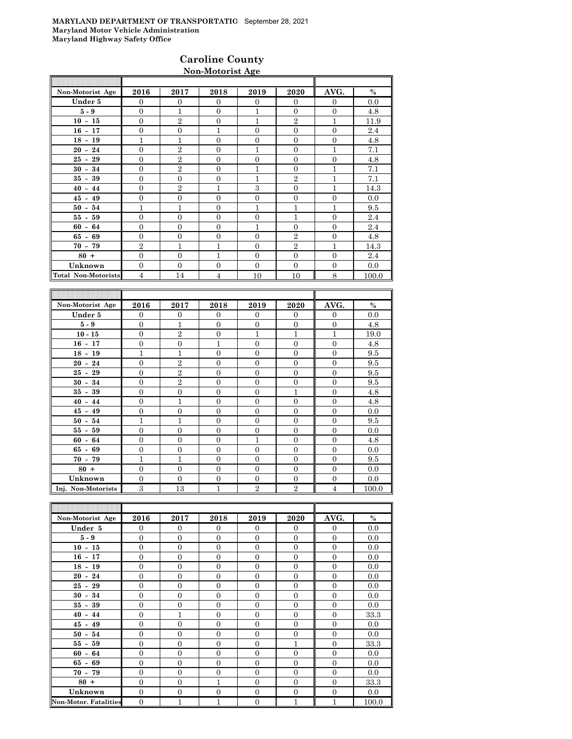### **Caroline County Non-Motorist Age**

| Non-Motorist Age           | 2016             | 2017             | 2018             | 2019             | 2020             | AVG.             | $\%$            |
|----------------------------|------------------|------------------|------------------|------------------|------------------|------------------|-----------------|
| Under 5                    | $\mathbf{0}$     | $\mathbf{0}$     | $\mathbf{0}$     | $\overline{0}$   | $\mathbf{0}$     | $\overline{0}$   | 0.0             |
| $5-9$                      | $\mathbf{0}$     | $\mathbf{1}$     | $\mathbf{0}$     | $\mathbf{1}$     | $\mathbf{0}$     | $\overline{0}$   | 4.8             |
| $10 - 15$                  | $\overline{0}$   | $\sqrt{2}$       | $\overline{0}$   | $\,1$            | $\overline{2}$   | $\mathbf{1}$     | 11.9            |
| $16 - 17$                  | $\boldsymbol{0}$ | $\boldsymbol{0}$ | $\overline{1}$   | $\mathbf{0}$     | $\boldsymbol{0}$ | $\mathbf{0}$     | 2.4             |
| $18 - 19$                  | $\mathbf{1}$     | $\mathbf{1}$     | $\mathbf{0}$     | $\mathbf{0}$     | $\boldsymbol{0}$ | $\mathbf{0}$     | 4.8             |
| $20 - 24$                  | $\overline{0}$   | $\overline{2}$   | $\Omega$         | $\mathbf{1}$     | $\Omega$         | $\mathbf{1}$     | 7.1             |
| $25 - 29$                  | $\overline{0}$   | $\sqrt{2}$       | $\Omega$         | $\overline{0}$   | $\overline{0}$   | $\overline{0}$   | 4.8             |
| $30 - 34$                  | $\overline{0}$   | $\overline{2}$   | $\overline{0}$   | $\mathbf 1$      | $\overline{0}$   | $\mathbf 1$      | 7.1             |
| $35 - 39$                  | $\mathbf{0}$     | $\mathbf{0}$     | $\overline{0}$   | $\mathbf{1}$     | $\overline{2}$   | $\mathbf{1}$     | 7.1             |
| $40 - 44$                  | $\mathbf{0}$     | $\sqrt{2}$       | 1                | 3                | $\overline{0}$   | $\mathbf{1}$     | 14.3            |
| $45 - 49$                  | $\boldsymbol{0}$ | $\boldsymbol{0}$ | $\mathbf{0}$     | $\mathbf{0}$     | $\boldsymbol{0}$ | $\mathbf{0}$     | 0.0             |
| $50 - 54$                  | $\mathbf{1}$     | $\mathbf{1}$     | $\mathbf{0}$     | $\mathbf{1}$     | $\mathbf{1}$     | $\mathbf{1}$     | 9.5             |
| $55 - 59$                  | $\boldsymbol{0}$ | $\boldsymbol{0}$ | $\mathbf{0}$     | $\boldsymbol{0}$ | $\mathbf{1}$     | $\overline{0}$   | 2.4             |
| $60 - 64$                  | $\overline{0}$   | $\overline{0}$   | $\Omega$         | $\mathbf{1}$     | $\overline{0}$   | $\overline{0}$   | 2.4             |
| $65 - 69$                  | $\Omega$         | $\Omega$         | $\theta$         | $\theta$         | $\overline{2}$   | $\theta$         | 4.8             |
| $70 - 79$                  | $\overline{2}$   | $\mathbf{1}$     | 1                | $\overline{0}$   | $\overline{2}$   | $\mathbf{1}$     | 14.3            |
| $80 +$                     | $\overline{0}$   | $\mathbf{0}$     | $\mathbf{1}$     | $\mathbf{0}$     | $\overline{0}$   | $\mathbf{0}$     | 2.4             |
| Unknown                    | $\mathbf{0}$     | $\mathbf{0}$     | $\mathbf{0}$     | $\mathbf{0}$     | $\mathbf{0}$     | $\mathbf{0}$     | 0.0             |
| <b>Total Non-Motorists</b> | $\overline{4}$   | 14               | $\overline{4}$   | 10               | 10               | 8                | 100.0           |
|                            |                  |                  |                  |                  |                  |                  |                 |
|                            |                  |                  |                  |                  |                  |                  |                 |
| Non-Motorist Age           | 2016             | 2017             | 2018             | 2019             | 2020             | AVG.             | $\%$            |
| Under 5                    | $\Omega$         | $\mathbf{0}$     | $\Omega$         | $\Omega$         | $\Omega$         | $\Omega$         | 0.0             |
| $5-9$                      | $\overline{0}$   | $\mathbf{1}$     | $\overline{0}$   | $\overline{0}$   | $\overline{0}$   | $\overline{0}$   | 4.8             |
| $10 - 15$                  | $\overline{0}$   | $\overline{2}$   | $\overline{0}$   | $\mathbf{1}$     | $\mathbf{1}$     | $\mathbf{1}$     | 19.0            |
| $16 - 17$                  | $\boldsymbol{0}$ | $\boldsymbol{0}$ | $\mathbf{1}$     | $\mathbf{0}$     | $\boldsymbol{0}$ | $\mathbf{0}$     | 4.8             |
| $18 - 19$                  | $\mathbf{1}$     | $\mathbf{1}$     | $\mathbf{0}$     | $\mathbf{0}$     | $\mathbf{0}$     | $\mathbf{0}$     | 9.5             |
| $20 - 24$                  | $\mathbf{0}$     | $\overline{2}$   | $\Omega$         | $\Omega$         | $\mathbf{0}$     | $\Omega$         | 9.5             |
| $25 - 29$                  | $\mathbf{0}$     | $\,2$            | $\mathbf{0}$     | $\overline{0}$   | $\boldsymbol{0}$ | $\mathbf{0}$     | 9.5             |
| $30 - 34$                  | $\overline{0}$   | $\overline{2}$   | $\mathbf{0}$     | $\overline{0}$   | $\overline{0}$   | $\overline{0}$   | 9.5             |
| $35 - 39$                  | $\boldsymbol{0}$ | $\boldsymbol{0}$ | $\boldsymbol{0}$ | $\boldsymbol{0}$ | $\mathbf{1}$     | $\boldsymbol{0}$ | 4.8             |
| $40 - 44$                  | $\Omega$         | $\mathbf{1}$     | $\Omega$         | $\Omega$         | $\Omega$         | $\Omega$         | $\overline{AB}$ |

| $30 - 34$          | $\Omega$ | $\mathfrak{D}$ | $\Omega$ | $\Omega$ | $\Omega$ | $\Omega$ | 9.5   |
|--------------------|----------|----------------|----------|----------|----------|----------|-------|
| $35 - 39$          | $\Omega$ |                | $\Omega$ | $\Omega$ |          | $\Omega$ | 4.8   |
| $40 - 44$          | $\Omega$ |                | $\Omega$ | $\theta$ | $\Omega$ | $\Omega$ | 4.8   |
| $45 - 49$          | $\Omega$ |                | $\Omega$ | $\Omega$ | $\Omega$ | $\Omega$ | 0.0   |
| $50 - 54$          |          |                | $\Omega$ | $\Omega$ |          | $\Omega$ | 9.5   |
| $55 - 59$          | $\Omega$ |                | $\Omega$ | 0        |          | 0        | 0.0   |
| $60 - 64$          | $\Omega$ |                | 0        |          |          | $\Omega$ | 4.8   |
| $65 - 69$          | $\Omega$ |                | $\Omega$ | 0        |          | $\Omega$ | 0.0   |
| $70 - 79$          |          |                | 0        | 0        |          | $\Omega$ | 9.5   |
| $80 +$             | $\Omega$ |                | 0        | 0        |          | $\Omega$ | 0.0   |
| Unknown            | $\Omega$ |                | $\Omega$ | $\Omega$ |          | $\Omega$ | 0.0   |
| Inj. Non-Motorists | З        | 13             |          | റ        | റ        |          | 100.0 |

| Non-Motorist Age             | 2016           | 2017             | 2018           | 2019             | 2020             | AVG.           | $\%$  |
|------------------------------|----------------|------------------|----------------|------------------|------------------|----------------|-------|
| Under 5                      | $\mathbf{0}$   | $\overline{0}$   | $\overline{0}$ | $\Omega$         | $\overline{0}$   | $\overline{0}$ | 0.0   |
| $5-9$                        | $\overline{0}$ | $\Omega$         | $\Omega$       | $\Omega$         | $\mathbf{0}$     | $\Omega$       | 0.0   |
| $10 - 15$                    | $\overline{0}$ | $\mathbf{0}$     | $\mathbf{0}$   | $\mathbf{0}$     | $\boldsymbol{0}$ | $\mathbf{0}$   | 0.0   |
| $16 - 17$                    | $\overline{0}$ | $\boldsymbol{0}$ | $\mathbf{0}$   | $\mathbf{0}$     | $\overline{0}$   | $\mathbf{0}$   | 0.0   |
| $18 - 19$                    | $\overline{0}$ | $\mathbf{0}$     | $\mathbf{0}$   | $\mathbf{0}$     | $\mathbf{0}$     | $\overline{0}$ | 0.0   |
| $20 - 24$                    | $\overline{0}$ | $\overline{0}$   | $\mathbf{0}$   | $\mathbf{0}$     | $\mathbf{0}$     | $\mathbf{0}$   | 0.0   |
| $25 - 29$                    | $\overline{0}$ | $\mathbf{0}$     | $\mathbf{0}$   | $\mathbf{0}$     | $\mathbf{0}$     | $\overline{0}$ | 0.0   |
| $30 - 34$                    | $\overline{0}$ | $\mathbf{0}$     | $\mathbf{0}$   | $\mathbf{0}$     | $\mathbf{0}$     | $\mathbf{0}$   | 0.0   |
| $35 - 39$                    | $\overline{0}$ | $\mathbf{0}$     | $\overline{0}$ | $\mathbf{0}$     | $\overline{0}$   | $\Omega$       | 0.0   |
| $40 - 44$                    | $\overline{0}$ | $\mathbf{1}$     | $\mathbf{0}$   | $\mathbf{0}$     | $\mathbf{0}$     | $\overline{0}$ | 33.3  |
| $45 - 49$                    | $\overline{0}$ | $\mathbf{0}$     | $\overline{0}$ | $\mathbf{0}$     | $\overline{0}$   | $\Omega$       | 0.0   |
| $50 - 54$                    | $\overline{0}$ | $\mathbf{0}$     | $\overline{0}$ | $\mathbf{0}$     | $\mathbf{0}$     | $\overline{0}$ | 0.0   |
| $55 - 59$                    | $\Omega$       | $\Omega$         | $\Omega$       | $\Omega$         | 1                | $\Omega$       | 33.3  |
| $60 - 64$                    | $\overline{0}$ | $\mathbf{0}$     | $\mathbf{0}$   | $\mathbf{0}$     | $\mathbf{0}$     | $\mathbf{0}$   | 0.0   |
| $65 - 69$                    | $\overline{0}$ | $\mathbf{0}$     | $\mathbf{0}$   | $\Omega$         | $\mathbf{0}$     | $\Omega$       | 0.0   |
| $70 - 79$                    | $\overline{0}$ | $\mathbf{0}$     | $\mathbf{0}$   | $\mathbf{0}$     | $\overline{0}$   | $\mathbf{0}$   | 0.0   |
| $80 +$                       | $\overline{0}$ | $\mathbf{0}$     | $\mathbf{1}$   | $\mathbf{0}$     | $\mathbf{0}$     | $\mathbf{0}$   | 33.3  |
| Unknown                      | $\overline{0}$ | $\mathbf{0}$     | $\mathbf{0}$   | $\mathbf{0}$     | $\boldsymbol{0}$ | $\overline{0}$ | 0.0   |
| <b>Non-Motor. Fatalities</b> | $\mathbf{0}$   | $\mathbf{1}$     | $\overline{1}$ | $\boldsymbol{0}$ | $\mathbf 1$      | $\mathbf{1}$   | 100.0 |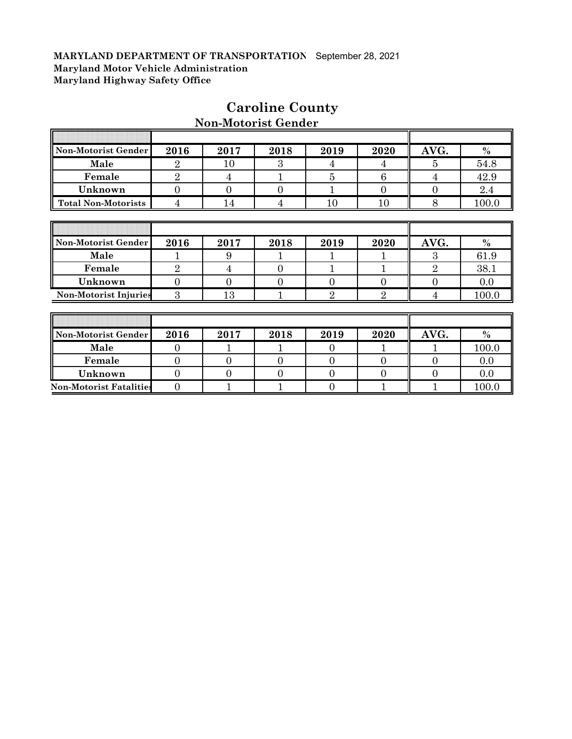| Non-Motorist Gender            | 2016             | 2017           | 2018           | 2019           | 2020           | AVG.           | $\%$  |
|--------------------------------|------------------|----------------|----------------|----------------|----------------|----------------|-------|
| Male                           | $\overline{2}$   | 10             | 3              | 4              | 4              | 5              | 54.8  |
| Female                         | $\overline{2}$   | 4              |                | 5              | 6              | 4              | 42.9  |
| Unknown                        | $\overline{0}$   | $\Omega$       | $\overline{0}$ | 1              | $\overline{0}$ | $\overline{0}$ | 2.4   |
| <b>Total Non-Motorists</b>     | $\overline{4}$   | 14             | $\overline{4}$ | 10             | 10             | 8              | 100.0 |
|                                |                  |                |                |                |                |                |       |
|                                |                  |                |                |                |                |                |       |
| Non-Motorist Gender            | 2016             | 2017           | 2018           | 2019           | 2020           | AVG.           | $\%$  |
| Male                           | 1                | 9              |                |                |                | 3              | 61.9  |
| Female                         | $\overline{2}$   | 4              | $\overline{0}$ |                | $\mathbf{1}$   | $\overline{2}$ | 38.1  |
| Unknown                        | $\mathbf{0}$     | $\Omega$       | $\Omega$       | $\overline{0}$ | $\mathbf{0}$   | $\overline{0}$ | 0.0   |
| <b>Non-Motorist Injuries</b>   | $\boldsymbol{3}$ | 13             |                | $\overline{2}$ | $\overline{2}$ | 4              | 100.0 |
|                                |                  |                |                |                |                |                |       |
|                                |                  |                |                |                |                |                |       |
| Non-Motorist Gender            | 2016             | 2017           | 2018           | 2019           | 2020           | AVG.           | $\%$  |
| Male                           | $\overline{0}$   |                |                | $\overline{0}$ | 1              |                | 100.0 |
| Female                         | $\overline{0}$   | $\theta$       | $\overline{0}$ | $\overline{0}$ | $\overline{0}$ | $\overline{0}$ | 0.0   |
| Unknown                        | $\overline{0}$   | $\overline{0}$ | $\overline{0}$ | $\overline{0}$ | $\overline{0}$ | 0              | 0.0   |
| <b>Non-Motorist Fatalities</b> | $\overline{0}$   |                |                | $\overline{0}$ |                | 1              | 100.0 |

# **Caroline County**

# **Non-Motorist Gender**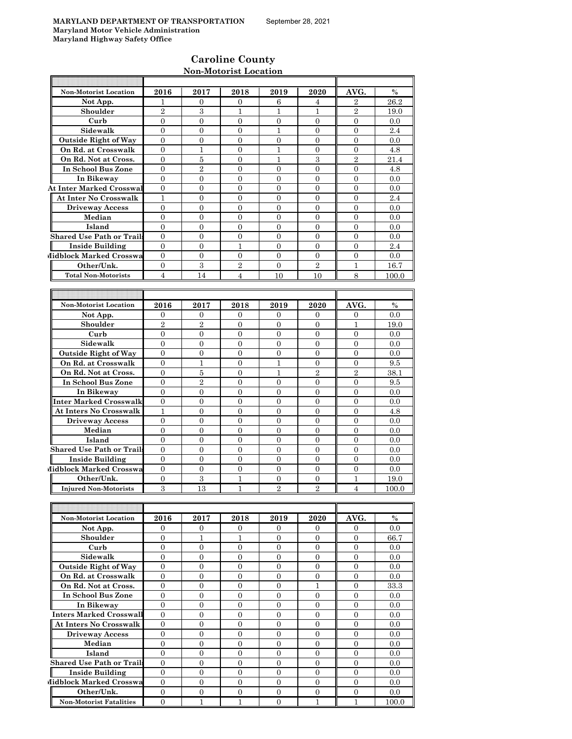# **Caroline County Non-Motorist Location**

| <b>Non-Motorist Location</b>                                    | 2016                | 2017                             | 2018                             | 2019                             | 2020                             | AVG.                       | $\%$        |
|-----------------------------------------------------------------|---------------------|----------------------------------|----------------------------------|----------------------------------|----------------------------------|----------------------------|-------------|
| Not App.                                                        | 1                   | 0                                | 0                                | 6                                | 4                                | $\overline{2}$             | 26.2        |
| Shoulder                                                        | $\overline{2}$      | 3                                | 1                                | 1                                | 1                                | $\overline{2}$             | 19.0        |
| Curb                                                            | $\mathbf{0}$        | $\overline{0}$                   | 0                                | $\mathbf{0}$                     | $\mathbf{0}$                     | $\overline{0}$             | 0.0         |
| Sidewalk                                                        | $\Omega$            | $\Omega$                         | $\theta$                         | $\mathbf{1}$                     | $\Omega$                         | $\Omega$                   | 2.4         |
| <b>Outside Right of Way</b>                                     | $\overline{0}$      | $\overline{0}$                   | $\overline{0}$                   | $\overline{0}$                   | $\overline{0}$                   | $\Omega$                   | 0.0         |
| On Rd. at Crosswalk                                             | $\overline{0}$      | 1                                | 0                                | 1                                | $\mathbf{0}$                     | $\mathbf{0}$               | 4.8         |
| On Rd. Not at Cross.                                            | $\overline{0}$      | 5                                | $\overline{0}$                   | 1                                | 3                                | $\overline{2}$             | 21.4        |
| In School Bus Zone                                              | $\mathbf{0}$        | $\sqrt{2}$                       | $\overline{0}$                   | $\overline{0}$                   | $\overline{0}$                   | $\theta$                   | 4.8         |
| In Bikeway                                                      | $\mathbf{0}$        | $\overline{0}$                   | $\overline{0}$                   | $\overline{0}$                   | $\overline{0}$                   | $\overline{0}$             | 0.0         |
| <b>At Inter Marked Crosswal</b><br><b>At Inter No Crosswalk</b> | $\overline{0}$      | $\overline{0}$                   | $\boldsymbol{0}$                 | $\mathbf{0}$                     | $\mathbf{0}$                     | $\mathbf{0}$               | 0.0         |
| <b>Driveway Access</b>                                          | 1<br>$\overline{0}$ | $\overline{0}$<br>$\overline{0}$ | $\overline{0}$<br>$\overline{0}$ | $\overline{0}$<br>$\overline{0}$ | $\Omega$<br>$\Omega$             | $\overline{0}$<br>$\Omega$ | 2.4<br>0.0  |
| Median                                                          | $\overline{0}$      | $\overline{0}$                   | $\overline{0}$                   | $\overline{0}$                   | $\Omega$                         | $\overline{0}$             | 0.0         |
| Island                                                          | $\overline{0}$      | $\overline{0}$                   | $\overline{0}$                   | $\mathbf{0}$                     | $\overline{0}$                   | $\mathbf{0}$               | 0.0         |
| <b>Shared Use Path or Trails</b>                                | $\Omega$            | $\overline{0}$                   | $\overline{0}$                   | $\overline{0}$                   | $\mathbf{0}$                     | $\theta$                   | 0.0         |
| <b>Inside Building</b>                                          | $\mathbf{0}$        | $\overline{0}$                   | 1                                | $\overline{0}$                   | $\overline{0}$                   | $\overline{0}$             | 2.4         |
| Midblock Marked Crosswa                                         | $\overline{0}$      | $\overline{0}$                   | 0                                | $\mathbf{0}$                     | $\mathbf{0}$                     | $\mathbf{0}$               | 0.0         |
| Other/Unk.                                                      | $\overline{0}$      | 3                                | $\overline{2}$                   | $\overline{0}$                   | $\overline{2}$                   | $\mathbf{1}$               | 16.7        |
| <b>Total Non-Motorists</b>                                      | $\overline{4}$      | 14                               | $\overline{4}$                   | 10                               | 10                               | 8                          | 100.0       |
|                                                                 |                     |                                  |                                  |                                  |                                  |                            |             |
|                                                                 |                     |                                  |                                  |                                  |                                  |                            |             |
| <b>Non-Motorist Location</b>                                    | 2016                | 2017                             | 2018                             | 2019                             | 2020                             | AVG.                       | $\%$        |
| Not App.                                                        | $\mathbf{0}$        | $\mathbf{0}$                     | 0                                | 0                                | $\overline{0}$                   | $\mathbf{0}$               | 0.0         |
| Shoulder                                                        | $\overline{2}$      | $\overline{2}$                   | $\overline{0}$                   | $\overline{0}$                   | $\overline{0}$                   | 1                          | 19.0        |
| Curb                                                            | $\overline{0}$      | 0                                | 0                                | $\mathbf{0}$                     | $\mathbf{0}$                     | $\theta$                   | 0.0         |
| Sidewalk                                                        | $\mathbf{0}$        | $\overline{0}$                   | $\overline{0}$                   | $\overline{0}$                   | $\overline{0}$                   | $\overline{0}$             | 0.0         |
| <b>Outside Right of Way</b>                                     | $\theta$            | $\overline{0}$                   | $\overline{0}$                   | $\overline{0}$                   | $\overline{0}$                   | $\overline{0}$             | 0.0         |
| On Rd. at Crosswalk                                             | $\overline{0}$      | 1                                | $\overline{0}$                   | 1                                | $\overline{0}$                   | $\overline{0}$             | 9.5         |
| On Rd. Not at Cross.                                            | $\overline{0}$      | $\overline{5}$                   | $\overline{0}$                   | 1                                | $\overline{2}$                   | $\overline{2}$             | 38.1        |
| In School Bus Zone                                              | $\overline{0}$      | $\overline{2}$                   | $\overline{0}$                   | $\overline{0}$                   | $\overline{0}$                   | $\overline{0}$             | 9.5         |
| In Bikeway                                                      | $\mathbf{0}$        | $\mathbf{0}$                     | $\overline{0}$                   | $\overline{0}$                   | $\overline{0}$                   | $\overline{0}$             | 0.0         |
| Inter Marked Crosswalk                                          | $\overline{0}$      | $\overline{0}$                   | $\overline{0}$                   | $\mathbf{0}$                     | $\mathbf{0}$                     | $\theta$                   | 0.0         |
| <b>At Inters No Crosswalk</b>                                   | $\mathbf{1}$        | $\overline{0}$                   | $\overline{0}$                   | $\overline{0}$                   | $\overline{0}$                   | $\overline{0}$             | 4.8         |
| <b>Driveway Access</b>                                          | $\mathbf{0}$        | $\overline{0}$                   | $\overline{0}$                   | $\overline{0}$                   | $\overline{0}$                   | $\overline{0}$             | 0.0         |
| Median                                                          | $\overline{0}$      | $\overline{0}$                   | $\overline{0}$                   | $\mathbf{0}$                     | $\overline{0}$                   | $\mathbf{0}$               | 0.0         |
| Island                                                          | $\overline{0}$      | $\overline{0}$                   | $\boldsymbol{0}$                 | $\mathbf{0}$                     | $\mathbf{0}$                     | $\mathbf{0}$               | 0.0         |
| <b>Shared Use Path or Trails</b>                                | $\Omega$            | $\Omega$                         | $\overline{0}$                   | $\Omega$                         | $\Omega$                         | $\Omega$                   | 0.0         |
| <b>Inside Building</b>                                          | $\mathbf{0}$        | $\overline{0}$                   | $\overline{0}$                   | $\overline{0}$                   | $\mathbf{0}$                     | $\overline{0}$             | 0.0         |
| Midblock Marked Crosswa<br>Other/Unk.                           | $\overline{0}$      | $\mathbf{0}$<br>$\,3$            | 0                                | $\mathbf{0}$                     | $\mathbf{0}$                     | $\mathbf{0}$               | 0.0<br>19.0 |
| <b>Injured Non-Motorists</b>                                    | $\mathbf{0}$<br>3   | 13                               | 1<br>1                           | $\mathbf{0}$<br>$\overline{2}$   | $\overline{0}$<br>$\overline{2}$ | 1<br>$\overline{4}$        |             |
|                                                                 |                     |                                  |                                  |                                  |                                  |                            | 100.0       |
|                                                                 |                     |                                  |                                  |                                  |                                  |                            |             |
| Non-Motorist Location                                           | 2016                | 2017                             | 2018                             | 2019                             | 2020                             | AVG.                       | $\%$        |
| Not App.                                                        | $\overline{0}$      | $\overline{0}$                   | 0                                | $\overline{0}$                   | $\overline{0}$                   | $\mathbf{0}$               | 0.0         |
| Shoulder                                                        | $\mathbf{0}$        | $\mathbf{1}$                     | $\mathbf{1}$                     | $\mathbf{0}$                     | $\mathbf{0}$                     | $\mathbf{0}$               | 66.7        |
| Curb                                                            | $\overline{0}$      | $\overline{0}$                   | 0                                | $\overline{0}$                   | $\mathbf{0}$                     | $\mathbf{0}$               | 0.0         |
| Sidewalk                                                        | $\overline{0}$      | $\overline{0}$                   | $\overline{0}$                   | $\overline{0}$                   | $\overline{0}$                   | $\mathbf{0}$               | 0.0         |
| <b>Outside Right of Way</b>                                     | $\mathbf{0}$        | $\boldsymbol{0}$                 | $\boldsymbol{0}$                 | $\overline{0}$                   | $\boldsymbol{0}$                 | $\mathbf{0}$               | 0.0         |
| On Rd. at Crosswalk                                             | $\mathbf{0}$        | $\boldsymbol{0}$                 | $\boldsymbol{0}$                 | $\overline{0}$                   | $\boldsymbol{0}$                 | $\boldsymbol{0}$           | 0.0         |
| On Rd. Not at Cross.                                            | $\overline{0}$      | 0                                | 0                                | $\boldsymbol{0}$                 | 1                                | $\mathbf{0}$               | 33.3        |
| In School Bus Zone                                              | $\overline{0}$      | $\overline{0}$                   | $\boldsymbol{0}$                 | $\overline{0}$                   | $\mathbf{0}$                     | $\mathbf{0}$               | 0.0         |
| In Bikeway                                                      | $\mathbf{0}$        | $\overline{0}$                   | $\overline{0}$                   | $\mathbf{0}$                     | $\overline{0}$                   | $\mathbf{0}$               | 0.0         |
| Inters Marked Crosswall                                         | $\overline{0}$      | 0                                | 0                                | $\mathbf{0}$                     | $\overline{0}$                   | $\overline{0}$             | 0.0         |
| <b>At Inters No Crosswalk</b>                                   | 0                   | 0                                | 0                                | $\overline{0}$                   | $\overline{0}$                   | $\overline{0}$             | 0.0         |
| <b>Driveway Access</b>                                          | $\mathbf{0}$        | $\mathbf{0}$                     | $\overline{0}$                   | $\overline{0}$                   | $\overline{0}$                   | $\overline{0}$             | 0.0         |
| Median                                                          | $\mathbf{0}$        | $\overline{0}$                   | $\boldsymbol{0}$                 | $\overline{0}$                   | $\overline{0}$                   | $\mathbf{0}$               | 0.0         |
| Island                                                          | $\mathbf{0}$        | $\boldsymbol{0}$                 | 0                                | $\mathbf{0}$                     | $\boldsymbol{0}$                 | $\mathbf{0}$               | 0.0         |
| <b>Shared Use Path or Trails</b>                                | $\overline{0}$      | $\overline{0}$                   | $\boldsymbol{0}$                 | $\mathbf{0}$                     | $\overline{0}$                   | $\boldsymbol{0}$           | 0.0         |
| <b>Inside Building</b>                                          | $\mathbf{0}$        | $\boldsymbol{0}$                 | $\boldsymbol{0}$                 | $\mathbf{0}$                     | $\boldsymbol{0}$                 | $\boldsymbol{0}$           | 0.0         |
| Midblock Marked Crosswa                                         | $\overline{0}$      | $\overline{0}$                   | $\overline{0}$                   | $\overline{0}$                   | $\overline{0}$                   | $\mathbf{0}$               | 0.0         |
| Other/Unk.                                                      | $\overline{0}$      | 0                                | $\boldsymbol{0}$                 | $\mathbf{0}$                     | $\boldsymbol{0}$                 | $\boldsymbol{0}$           | 0.0         |
| <b>Non-Motorist Fatalities</b>                                  | $\overline{0}$      | $\mathbf{1}$                     | $\mathbf{1}$                     | $\overline{0}$                   | $\mathbf{1}$                     | $\mathbf{1}$               | 100.0       |